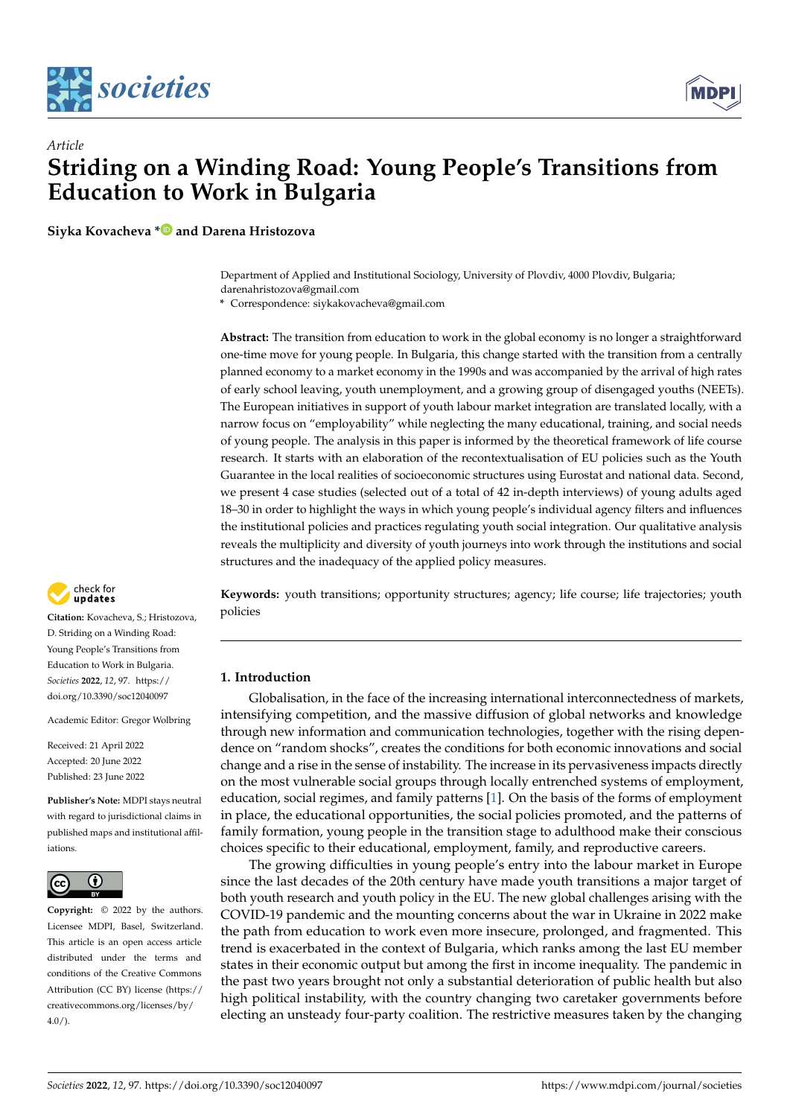



# *Article* **Striding on a Winding Road: Young People's Transitions from Education to Work in Bulgaria**

**Siyka Kovacheva [\\*](https://orcid.org/0000-0002-4612-9374) and Darena Hristozova**

Department of Applied and Institutional Sociology, University of Plovdiv, 4000 Plovdiv, Bulgaria; darenahristozova@gmail.com

**\*** Correspondence: siykakovacheva@gmail.com

**Abstract:** The transition from education to work in the global economy is no longer a straightforward one-time move for young people. In Bulgaria, this change started with the transition from a centrally planned economy to a market economy in the 1990s and was accompanied by the arrival of high rates of early school leaving, youth unemployment, and a growing group of disengaged youths (NEETs). The European initiatives in support of youth labour market integration are translated locally, with a narrow focus on "employability" while neglecting the many educational, training, and social needs of young people. The analysis in this paper is informed by the theoretical framework of life course research. It starts with an elaboration of the recontextualisation of EU policies such as the Youth Guarantee in the local realities of socioeconomic structures using Eurostat and national data. Second, we present 4 case studies (selected out of a total of 42 in-depth interviews) of young adults aged 18–30 in order to highlight the ways in which young people's individual agency filters and influences the institutional policies and practices regulating youth social integration. Our qualitative analysis reveals the multiplicity and diversity of youth journeys into work through the institutions and social structures and the inadequacy of the applied policy measures.

check for updates

**Citation:** Kovacheva, S.; Hristozova, D. Striding on a Winding Road: Young People's Transitions from Education to Work in Bulgaria. *Societies* **2022**, *12*, 97. [https://](https://doi.org/10.3390/soc12040097) [doi.org/10.3390/soc12040097](https://doi.org/10.3390/soc12040097)

Academic Editor: Gregor Wolbring

Received: 21 April 2022 Accepted: 20 June 2022 Published: 23 June 2022

**Publisher's Note:** MDPI stays neutral with regard to jurisdictional claims in published maps and institutional affiliations.



**Copyright:** © 2022 by the authors. Licensee MDPI, Basel, Switzerland. This article is an open access article distributed under the terms and conditions of the Creative Commons Attribution (CC BY) license [\(https://](https://creativecommons.org/licenses/by/4.0/) [creativecommons.org/licenses/by/](https://creativecommons.org/licenses/by/4.0/)  $4.0/$ ).

**Keywords:** youth transitions; opportunity structures; agency; life course; life trajectories; youth policies

# **1. Introduction**

Globalisation, in the face of the increasing international interconnectedness of markets, intensifying competition, and the massive diffusion of global networks and knowledge through new information and communication technologies, together with the rising dependence on "random shocks", creates the conditions for both economic innovations and social change and a rise in the sense of instability. The increase in its pervasiveness impacts directly on the most vulnerable social groups through locally entrenched systems of employment, education, social regimes, and family patterns [\[1\]](#page-16-0). On the basis of the forms of employment in place, the educational opportunities, the social policies promoted, and the patterns of family formation, young people in the transition stage to adulthood make their conscious choices specific to their educational, employment, family, and reproductive careers.

The growing difficulties in young people's entry into the labour market in Europe since the last decades of the 20th century have made youth transitions a major target of both youth research and youth policy in the EU. The new global challenges arising with the COVID-19 pandemic and the mounting concerns about the war in Ukraine in 2022 make the path from education to work even more insecure, prolonged, and fragmented. This trend is exacerbated in the context of Bulgaria, which ranks among the last EU member states in their economic output but among the first in income inequality. The pandemic in the past two years brought not only a substantial deterioration of public health but also high political instability, with the country changing two caretaker governments before electing an unsteady four-party coalition. The restrictive measures taken by the changing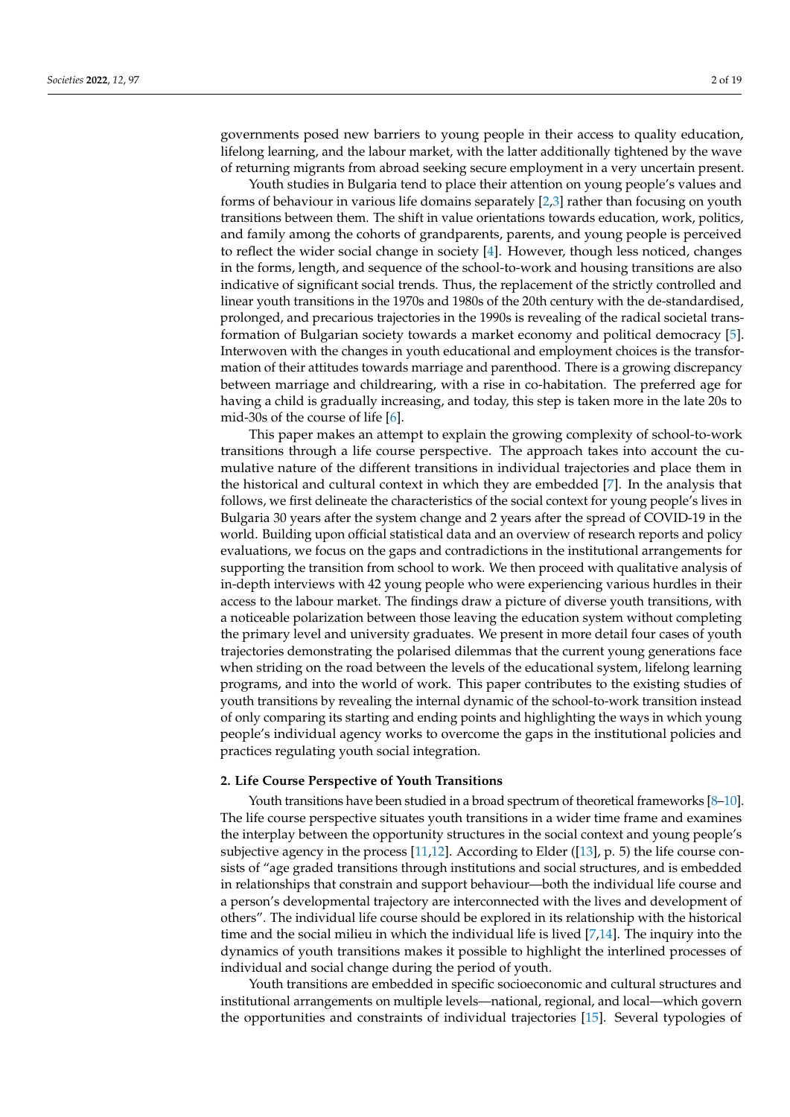governments posed new barriers to young people in their access to quality education, lifelong learning, and the labour market, with the latter additionally tightened by the wave of returning migrants from abroad seeking secure employment in a very uncertain present.

Youth studies in Bulgaria tend to place their attention on young people's values and forms of behaviour in various life domains separately [\[2,](#page-16-1)[3\]](#page-16-2) rather than focusing on youth transitions between them. The shift in value orientations towards education, work, politics, and family among the cohorts of grandparents, parents, and young people is perceived to reflect the wider social change in society [\[4\]](#page-16-3). However, though less noticed, changes in the forms, length, and sequence of the school-to-work and housing transitions are also indicative of significant social trends. Thus, the replacement of the strictly controlled and linear youth transitions in the 1970s and 1980s of the 20th century with the de-standardised, prolonged, and precarious trajectories in the 1990s is revealing of the radical societal transformation of Bulgarian society towards a market economy and political democracy [\[5\]](#page-16-4). Interwoven with the changes in youth educational and employment choices is the transformation of their attitudes towards marriage and parenthood. There is a growing discrepancy between marriage and childrearing, with a rise in co-habitation. The preferred age for having a child is gradually increasing, and today, this step is taken more in the late 20s to mid-30s of the course of life [\[6\]](#page-16-5).

This paper makes an attempt to explain the growing complexity of school-to-work transitions through a life course perspective. The approach takes into account the cumulative nature of the different transitions in individual trajectories and place them in the historical and cultural context in which they are embedded [\[7\]](#page-16-6). In the analysis that follows, we first delineate the characteristics of the social context for young people's lives in Bulgaria 30 years after the system change and 2 years after the spread of COVID-19 in the world. Building upon official statistical data and an overview of research reports and policy evaluations, we focus on the gaps and contradictions in the institutional arrangements for supporting the transition from school to work. We then proceed with qualitative analysis of in-depth interviews with 42 young people who were experiencing various hurdles in their access to the labour market. The findings draw a picture of diverse youth transitions, with a noticeable polarization between those leaving the education system without completing the primary level and university graduates. We present in more detail four cases of youth trajectories demonstrating the polarised dilemmas that the current young generations face when striding on the road between the levels of the educational system, lifelong learning programs, and into the world of work. This paper contributes to the existing studies of youth transitions by revealing the internal dynamic of the school-to-work transition instead of only comparing its starting and ending points and highlighting the ways in which young people's individual agency works to overcome the gaps in the institutional policies and practices regulating youth social integration.

### **2. Life Course Perspective of Youth Transitions**

Youth transitions have been studied in a broad spectrum of theoretical frameworks [\[8–](#page-16-7)[10\]](#page-16-8). The life course perspective situates youth transitions in a wider time frame and examines the interplay between the opportunity structures in the social context and young people's subjective agency in the process  $[11,12]$  $[11,12]$ . According to Elder ( $[13]$ , p. 5) the life course consists of "age graded transitions through institutions and social structures, and is embedded in relationships that constrain and support behaviour—both the individual life course and a person's developmental trajectory are interconnected with the lives and development of others". The individual life course should be explored in its relationship with the historical time and the social milieu in which the individual life is lived [\[7,](#page-16-6)[14\]](#page-16-12). The inquiry into the dynamics of youth transitions makes it possible to highlight the interlined processes of individual and social change during the period of youth.

Youth transitions are embedded in specific socioeconomic and cultural structures and institutional arrangements on multiple levels—national, regional, and local—which govern the opportunities and constraints of individual trajectories [\[15\]](#page-16-13). Several typologies of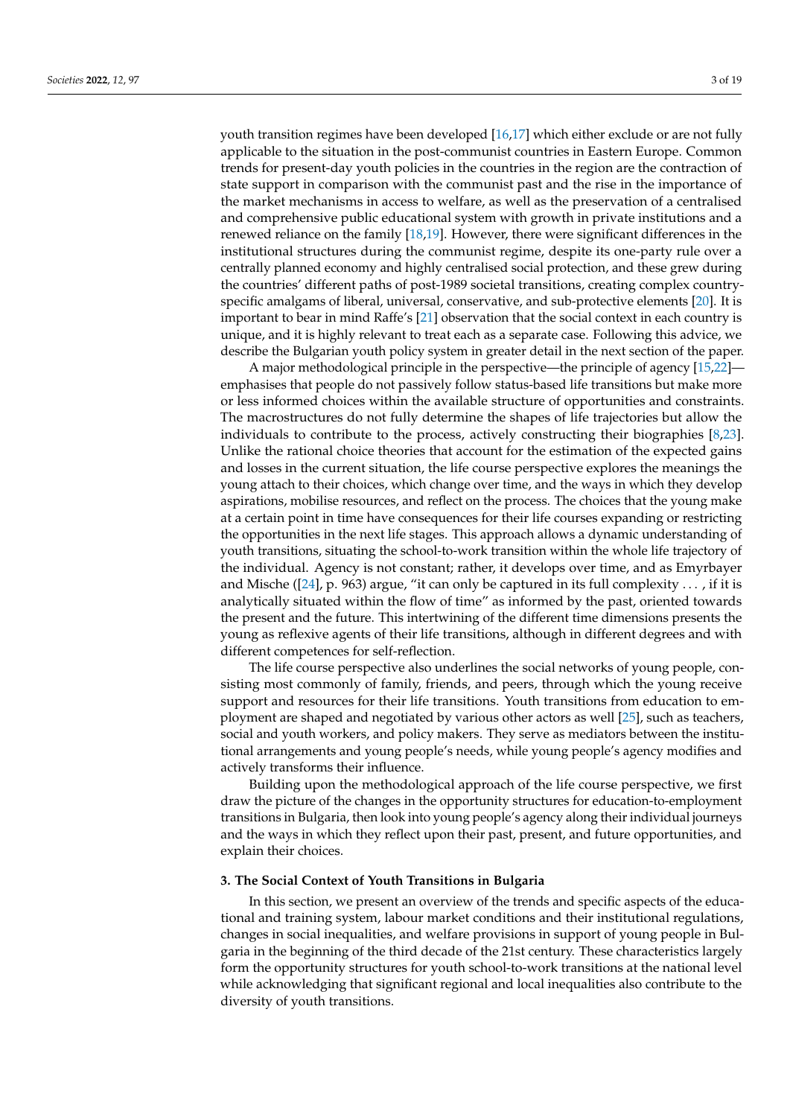youth transition regimes have been developed [\[16,](#page-16-14)[17\]](#page-16-15) which either exclude or are not fully applicable to the situation in the post-communist countries in Eastern Europe. Common trends for present-day youth policies in the countries in the region are the contraction of state support in comparison with the communist past and the rise in the importance of the market mechanisms in access to welfare, as well as the preservation of a centralised and comprehensive public educational system with growth in private institutions and a renewed reliance on the family [\[18](#page-16-16)[,19\]](#page-16-17). However, there were significant differences in the institutional structures during the communist regime, despite its one-party rule over a centrally planned economy and highly centralised social protection, and these grew during the countries' different paths of post-1989 societal transitions, creating complex countryspecific amalgams of liberal, universal, conservative, and sub-protective elements [\[20\]](#page-16-18). It is important to bear in mind Raffe's [\[21\]](#page-16-19) observation that the social context in each country is unique, and it is highly relevant to treat each as a separate case. Following this advice, we describe the Bulgarian youth policy system in greater detail in the next section of the paper.

A major methodological principle in the perspective—the principle of agency [\[15](#page-16-13)[,22\]](#page-16-20) emphasises that people do not passively follow status-based life transitions but make more or less informed choices within the available structure of opportunities and constraints. The macrostructures do not fully determine the shapes of life trajectories but allow the individuals to contribute to the process, actively constructing their biographies [\[8,](#page-16-7)[23\]](#page-16-21). Unlike the rational choice theories that account for the estimation of the expected gains and losses in the current situation, the life course perspective explores the meanings the young attach to their choices, which change over time, and the ways in which they develop aspirations, mobilise resources, and reflect on the process. The choices that the young make at a certain point in time have consequences for their life courses expanding or restricting the opportunities in the next life stages. This approach allows a dynamic understanding of youth transitions, situating the school-to-work transition within the whole life trajectory of the individual. Agency is not constant; rather, it develops over time, and as Emyrbayer and Mische ( $[24]$ , p. 963) argue, "it can only be captured in its full complexity ..., if it is analytically situated within the flow of time" as informed by the past, oriented towards the present and the future. This intertwining of the different time dimensions presents the young as reflexive agents of their life transitions, although in different degrees and with different competences for self-reflection.

The life course perspective also underlines the social networks of young people, consisting most commonly of family, friends, and peers, through which the young receive support and resources for their life transitions. Youth transitions from education to employment are shaped and negotiated by various other actors as well [\[25\]](#page-16-23), such as teachers, social and youth workers, and policy makers. They serve as mediators between the institutional arrangements and young people's needs, while young people's agency modifies and actively transforms their influence.

Building upon the methodological approach of the life course perspective, we first draw the picture of the changes in the opportunity structures for education-to-employment transitions in Bulgaria, then look into young people's agency along their individual journeys and the ways in which they reflect upon their past, present, and future opportunities, and explain their choices.

## **3. The Social Context of Youth Transitions in Bulgaria**

In this section, we present an overview of the trends and specific aspects of the educational and training system, labour market conditions and their institutional regulations, changes in social inequalities, and welfare provisions in support of young people in Bulgaria in the beginning of the third decade of the 21st century. These characteristics largely form the opportunity structures for youth school-to-work transitions at the national level while acknowledging that significant regional and local inequalities also contribute to the diversity of youth transitions.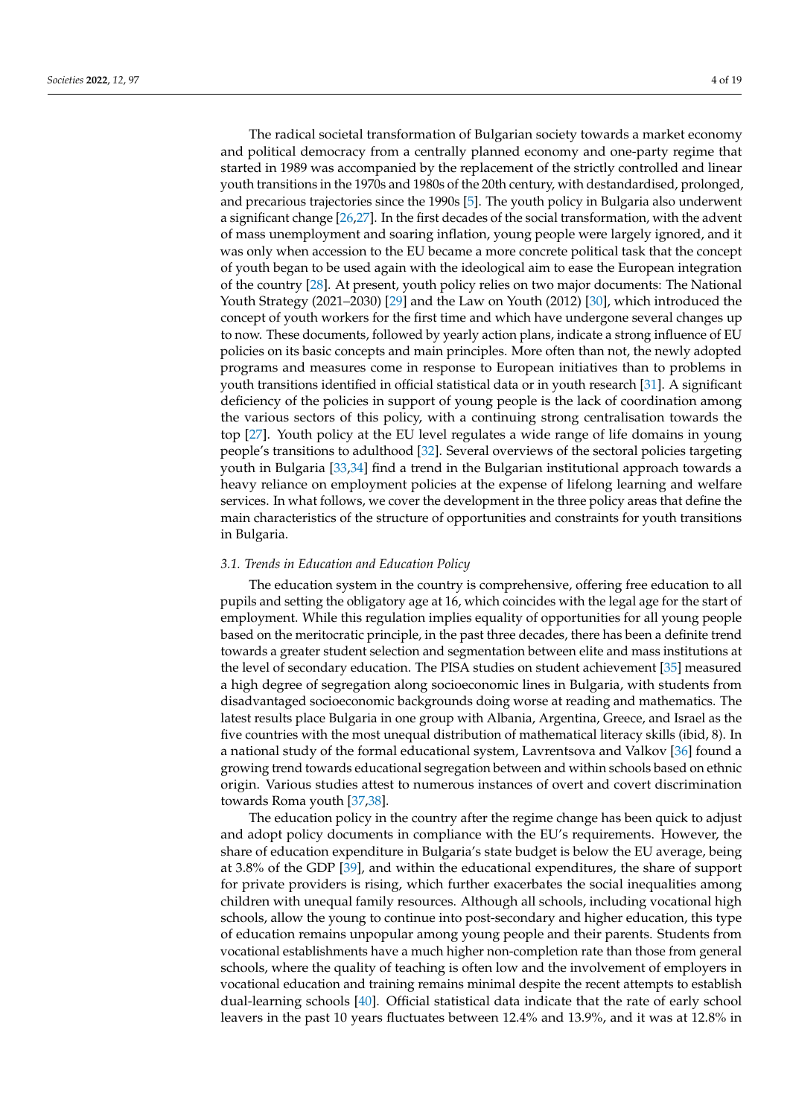The radical societal transformation of Bulgarian society towards a market economy and political democracy from a centrally planned economy and one-party regime that started in 1989 was accompanied by the replacement of the strictly controlled and linear youth transitions in the 1970s and 1980s of the 20th century, with destandardised, prolonged, and precarious trajectories since the 1990s [\[5\]](#page-16-4). The youth policy in Bulgaria also underwent a significant change [\[26](#page-16-24)[,27\]](#page-16-25). In the first decades of the social transformation, with the advent of mass unemployment and soaring inflation, young people were largely ignored, and it was only when accession to the EU became a more concrete political task that the concept of youth began to be used again with the ideological aim to ease the European integration of the country [\[28\]](#page-16-26). At present, youth policy relies on two major documents: The National Youth Strategy (2021–2030) [\[29\]](#page-16-27) and the Law on Youth (2012) [\[30\]](#page-16-28), which introduced the concept of youth workers for the first time and which have undergone several changes up to now. These documents, followed by yearly action plans, indicate a strong influence of EU policies on its basic concepts and main principles. More often than not, the newly adopted programs and measures come in response to European initiatives than to problems in youth transitions identified in official statistical data or in youth research [\[31\]](#page-16-29). A significant deficiency of the policies in support of young people is the lack of coordination among the various sectors of this policy, with a continuing strong centralisation towards the top [\[27\]](#page-16-25). Youth policy at the EU level regulates a wide range of life domains in young people's transitions to adulthood [\[32\]](#page-16-30). Several overviews of the sectoral policies targeting youth in Bulgaria [\[33,](#page-17-0)[34\]](#page-17-1) find a trend in the Bulgarian institutional approach towards a heavy reliance on employment policies at the expense of lifelong learning and welfare services. In what follows, we cover the development in the three policy areas that define the main characteristics of the structure of opportunities and constraints for youth transitions in Bulgaria.

#### *3.1. Trends in Education and Education Policy*

The education system in the country is comprehensive, offering free education to all pupils and setting the obligatory age at 16, which coincides with the legal age for the start of employment. While this regulation implies equality of opportunities for all young people based on the meritocratic principle, in the past three decades, there has been a definite trend towards a greater student selection and segmentation between elite and mass institutions at the level of secondary education. The PISA studies on student achievement [\[35\]](#page-17-2) measured a high degree of segregation along socioeconomic lines in Bulgaria, with students from disadvantaged socioeconomic backgrounds doing worse at reading and mathematics. The latest results place Bulgaria in one group with Albania, Argentina, Greece, and Israel as the five countries with the most unequal distribution of mathematical literacy skills (ibid, 8). In a national study of the formal educational system, Lavrentsova and Valkov [\[36\]](#page-17-3) found a growing trend towards educational segregation between and within schools based on ethnic origin. Various studies attest to numerous instances of overt and covert discrimination towards Roma youth [\[37,](#page-17-4)[38\]](#page-17-5).

The education policy in the country after the regime change has been quick to adjust and adopt policy documents in compliance with the EU's requirements. However, the share of education expenditure in Bulgaria's state budget is below the EU average, being at 3.8% of the GDP [\[39\]](#page-17-6), and within the educational expenditures, the share of support for private providers is rising, which further exacerbates the social inequalities among children with unequal family resources. Although all schools, including vocational high schools, allow the young to continue into post-secondary and higher education, this type of education remains unpopular among young people and their parents. Students from vocational establishments have a much higher non-completion rate than those from general schools, where the quality of teaching is often low and the involvement of employers in vocational education and training remains minimal despite the recent attempts to establish dual-learning schools [\[40\]](#page-17-7). Official statistical data indicate that the rate of early school leavers in the past 10 years fluctuates between 12.4% and 13.9%, and it was at 12.8% in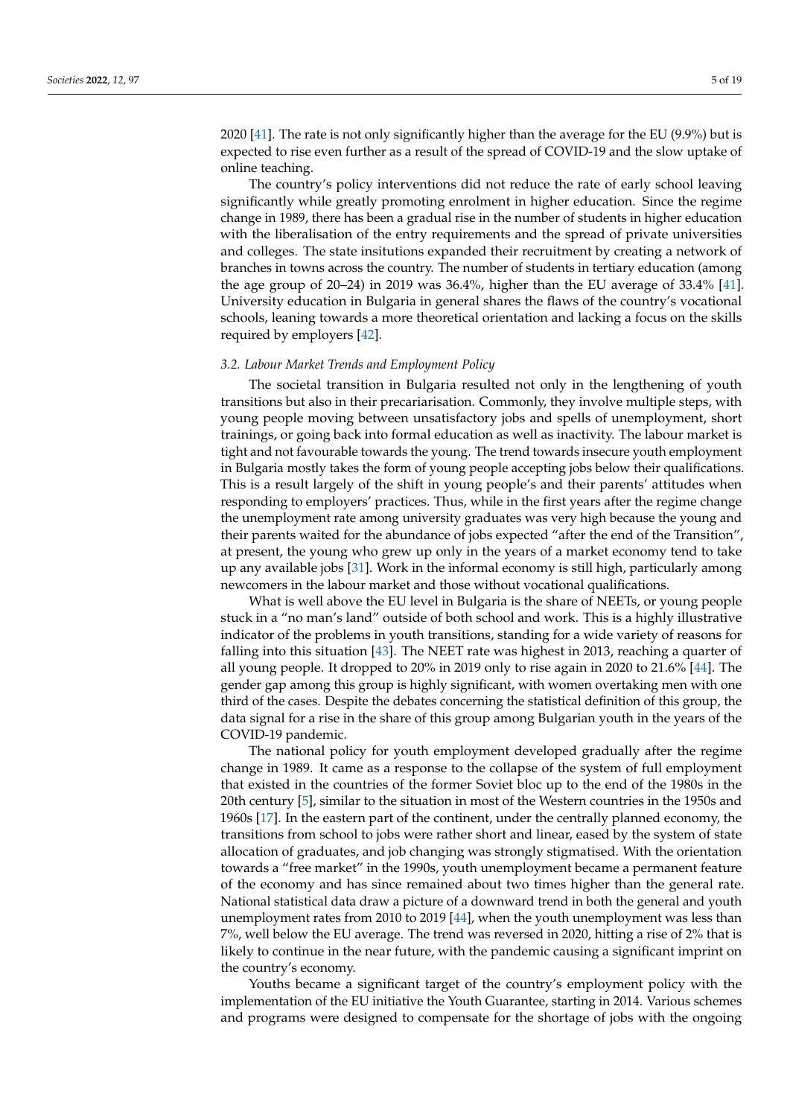2020 [\[41\]](#page-17-8). The rate is not only significantly higher than the average for the EU (9.9%) but is expected to rise even further as a result of the spread of COVID-19 and the slow uptake of online teaching.

The country's policy interventions did not reduce the rate of early school leaving significantly while greatly promoting enrolment in higher education. Since the regime change in 1989, there has been a gradual rise in the number of students in higher education with the liberalisation of the entry requirements and the spread of private universities and colleges. The state insitutions expanded their recruitment by creating a network of branches in towns across the country. The number of students in tertiary education (among the age group of 20–24) in 2019 was 36.4%, higher than the EU average of 33.4% [\[41\]](#page-17-8). University education in Bulgaria in general shares the flaws of the country's vocational schools, leaning towards a more theoretical orientation and lacking a focus on the skills required by employers [\[42\]](#page-17-9).

## *3.2. Labour Market Trends and Employment Policy*

The societal transition in Bulgaria resulted not only in the lengthening of youth transitions but also in their precariarisation. Commonly, they involve multiple steps, with young people moving between unsatisfactory jobs and spells of unemployment, short trainings, or going back into formal education as well as inactivity. The labour market is tight and not favourable towards the young. The trend towards insecure youth employment in Bulgaria mostly takes the form of young people accepting jobs below their qualifications. This is a result largely of the shift in young people's and their parents' attitudes when responding to employers' practices. Thus, while in the first years after the regime change the unemployment rate among university graduates was very high because the young and their parents waited for the abundance of jobs expected "after the end of the Transition", at present, the young who grew up only in the years of a market economy tend to take up any available jobs [\[31\]](#page-16-29). Work in the informal economy is still high, particularly among newcomers in the labour market and those without vocational qualifications.

What is well above the EU level in Bulgaria is the share of NEETs, or young people stuck in a "no man's land" outside of both school and work. This is a highly illustrative indicator of the problems in youth transitions, standing for a wide variety of reasons for falling into this situation [\[43\]](#page-17-10). The NEET rate was highest in 2013, reaching a quarter of all young people. It dropped to 20% in 2019 only to rise again in 2020 to 21.6% [\[44\]](#page-17-11). The gender gap among this group is highly significant, with women overtaking men with one third of the cases. Despite the debates concerning the statistical definition of this group, the data signal for a rise in the share of this group among Bulgarian youth in the years of the COVID-19 pandemic.

The national policy for youth employment developed gradually after the regime change in 1989. It came as a response to the collapse of the system of full employment that existed in the countries of the former Soviet bloc up to the end of the 1980s in the 20th century [\[5\]](#page-16-4), similar to the situation in most of the Western countries in the 1950s and 1960s [\[17\]](#page-16-15). In the eastern part of the continent, under the centrally planned economy, the transitions from school to jobs were rather short and linear, eased by the system of state allocation of graduates, and job changing was strongly stigmatised. With the orientation towards a "free market" in the 1990s, youth unemployment became a permanent feature of the economy and has since remained about two times higher than the general rate. National statistical data draw a picture of a downward trend in both the general and youth unemployment rates from 2010 to 2019 [\[44\]](#page-17-11), when the youth unemployment was less than 7%, well below the EU average. The trend was reversed in 2020, hitting a rise of 2% that is likely to continue in the near future, with the pandemic causing a significant imprint on the country's economy.

Youths became a significant target of the country's employment policy with the implementation of the EU initiative the Youth Guarantee, starting in 2014. Various schemes and programs were designed to compensate for the shortage of jobs with the ongoing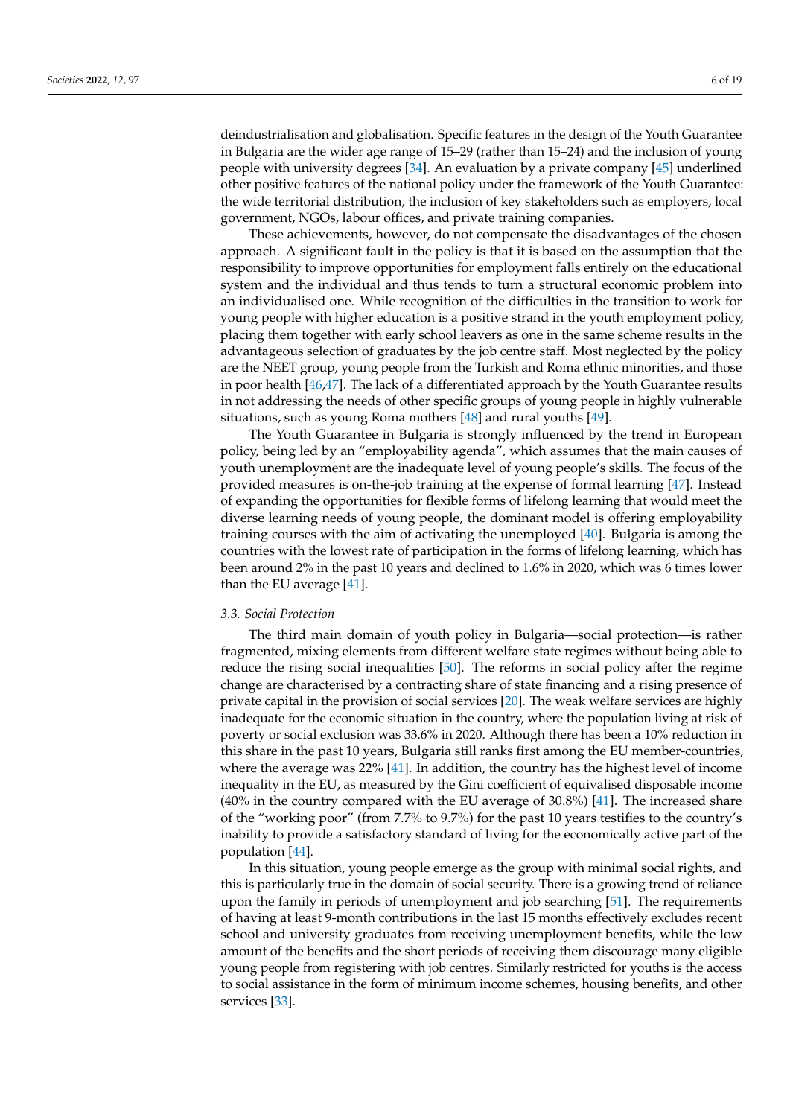deindustrialisation and globalisation. Specific features in the design of the Youth Guarantee in Bulgaria are the wider age range of 15–29 (rather than 15–24) and the inclusion of young people with university degrees [\[34\]](#page-17-1). An evaluation by a private company [\[45\]](#page-17-12) underlined other positive features of the national policy under the framework of the Youth Guarantee: the wide territorial distribution, the inclusion of key stakeholders such as employers, local government, NGOs, labour offices, and private training companies.

These achievements, however, do not compensate the disadvantages of the chosen approach. A significant fault in the policy is that it is based on the assumption that the responsibility to improve opportunities for employment falls entirely on the educational system and the individual and thus tends to turn a structural economic problem into an individualised one. While recognition of the difficulties in the transition to work for young people with higher education is a positive strand in the youth employment policy, placing them together with early school leavers as one in the same scheme results in the advantageous selection of graduates by the job centre staff. Most neglected by the policy are the NEET group, young people from the Turkish and Roma ethnic minorities, and those in poor health [\[46](#page-17-13)[,47\]](#page-17-14). The lack of a differentiated approach by the Youth Guarantee results in not addressing the needs of other specific groups of young people in highly vulnerable situations, such as young Roma mothers [\[48\]](#page-17-15) and rural youths [\[49\]](#page-17-16).

The Youth Guarantee in Bulgaria is strongly influenced by the trend in European policy, being led by an "employability agenda", which assumes that the main causes of youth unemployment are the inadequate level of young people's skills. The focus of the provided measures is on-the-job training at the expense of formal learning [\[47\]](#page-17-14). Instead of expanding the opportunities for flexible forms of lifelong learning that would meet the diverse learning needs of young people, the dominant model is offering employability training courses with the aim of activating the unemployed [\[40\]](#page-17-7). Bulgaria is among the countries with the lowest rate of participation in the forms of lifelong learning, which has been around 2% in the past 10 years and declined to 1.6% in 2020, which was 6 times lower than the EU average [\[41\]](#page-17-8).

## *3.3. Social Protection*

The third main domain of youth policy in Bulgaria—social protection—is rather fragmented, mixing elements from different welfare state regimes without being able to reduce the rising social inequalities [\[50\]](#page-17-17). The reforms in social policy after the regime change are characterised by a contracting share of state financing and a rising presence of private capital in the provision of social services [\[20\]](#page-16-18). The weak welfare services are highly inadequate for the economic situation in the country, where the population living at risk of poverty or social exclusion was 33.6% in 2020. Although there has been a 10% reduction in this share in the past 10 years, Bulgaria still ranks first among the EU member-countries, where the average was 22% [\[41\]](#page-17-8). In addition, the country has the highest level of income inequality in the EU, as measured by the Gini coefficient of equivalised disposable income (40% in the country compared with the EU average of 30.8%) [\[41\]](#page-17-8). The increased share of the "working poor" (from 7.7% to 9.7%) for the past 10 years testifies to the country's inability to provide a satisfactory standard of living for the economically active part of the population [\[44\]](#page-17-11).

In this situation, young people emerge as the group with minimal social rights, and this is particularly true in the domain of social security. There is a growing trend of reliance upon the family in periods of unemployment and job searching [\[51\]](#page-17-18). The requirements of having at least 9-month contributions in the last 15 months effectively excludes recent school and university graduates from receiving unemployment benefits, while the low amount of the benefits and the short periods of receiving them discourage many eligible young people from registering with job centres. Similarly restricted for youths is the access to social assistance in the form of minimum income schemes, housing benefits, and other services [\[33\]](#page-17-0).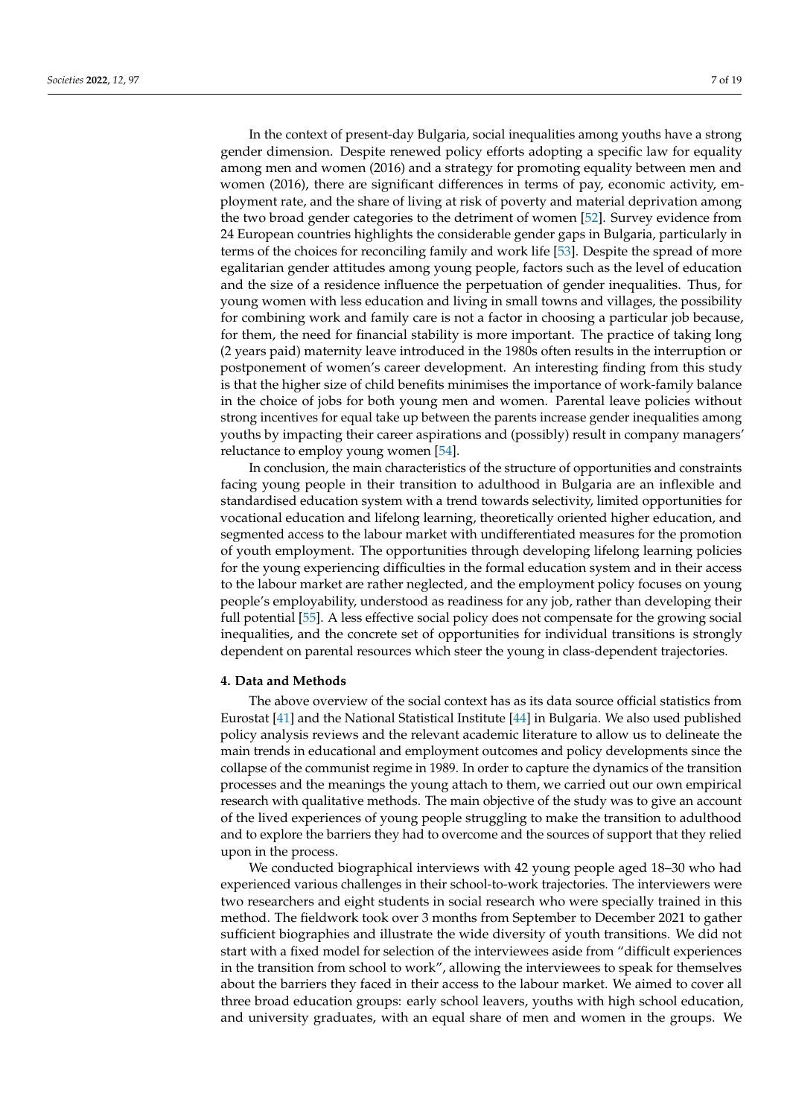In the context of present-day Bulgaria, social inequalities among youths have a strong gender dimension. Despite renewed policy efforts adopting a specific law for equality among men and women (2016) and a strategy for promoting equality between men and women (2016), there are significant differences in terms of pay, economic activity, employment rate, and the share of living at risk of poverty and material deprivation among the two broad gender categories to the detriment of women [\[52\]](#page-17-19). Survey evidence from 24 European countries highlights the considerable gender gaps in Bulgaria, particularly in terms of the choices for reconciling family and work life [\[53\]](#page-17-20). Despite the spread of more egalitarian gender attitudes among young people, factors such as the level of education and the size of a residence influence the perpetuation of gender inequalities. Thus, for young women with less education and living in small towns and villages, the possibility for combining work and family care is not a factor in choosing a particular job because, for them, the need for financial stability is more important. The practice of taking long (2 years paid) maternity leave introduced in the 1980s often results in the interruption or postponement of women's career development. An interesting finding from this study is that the higher size of child benefits minimises the importance of work-family balance in the choice of jobs for both young men and women. Parental leave policies without strong incentives for equal take up between the parents increase gender inequalities among youths by impacting their career aspirations and (possibly) result in company managers' reluctance to employ young women [\[54\]](#page-17-21).

In conclusion, the main characteristics of the structure of opportunities and constraints facing young people in their transition to adulthood in Bulgaria are an inflexible and standardised education system with a trend towards selectivity, limited opportunities for vocational education and lifelong learning, theoretically oriented higher education, and segmented access to the labour market with undifferentiated measures for the promotion of youth employment. The opportunities through developing lifelong learning policies for the young experiencing difficulties in the formal education system and in their access to the labour market are rather neglected, and the employment policy focuses on young people's employability, understood as readiness for any job, rather than developing their full potential [\[55\]](#page-17-22). A less effective social policy does not compensate for the growing social inequalities, and the concrete set of opportunities for individual transitions is strongly dependent on parental resources which steer the young in class-dependent trajectories.

#### **4. Data and Methods**

The above overview of the social context has as its data source official statistics from Eurostat [\[41\]](#page-17-8) and the National Statistical Institute [\[44\]](#page-17-11) in Bulgaria. We also used published policy analysis reviews and the relevant academic literature to allow us to delineate the main trends in educational and employment outcomes and policy developments since the collapse of the communist regime in 1989. In order to capture the dynamics of the transition processes and the meanings the young attach to them, we carried out our own empirical research with qualitative methods. The main objective of the study was to give an account of the lived experiences of young people struggling to make the transition to adulthood and to explore the barriers they had to overcome and the sources of support that they relied upon in the process.

We conducted biographical interviews with 42 young people aged 18–30 who had experienced various challenges in their school-to-work trajectories. The interviewers were two researchers and eight students in social research who were specially trained in this method. The fieldwork took over 3 months from September to December 2021 to gather sufficient biographies and illustrate the wide diversity of youth transitions. We did not start with a fixed model for selection of the interviewees aside from "difficult experiences in the transition from school to work", allowing the interviewees to speak for themselves about the barriers they faced in their access to the labour market. We aimed to cover all three broad education groups: early school leavers, youths with high school education, and university graduates, with an equal share of men and women in the groups. We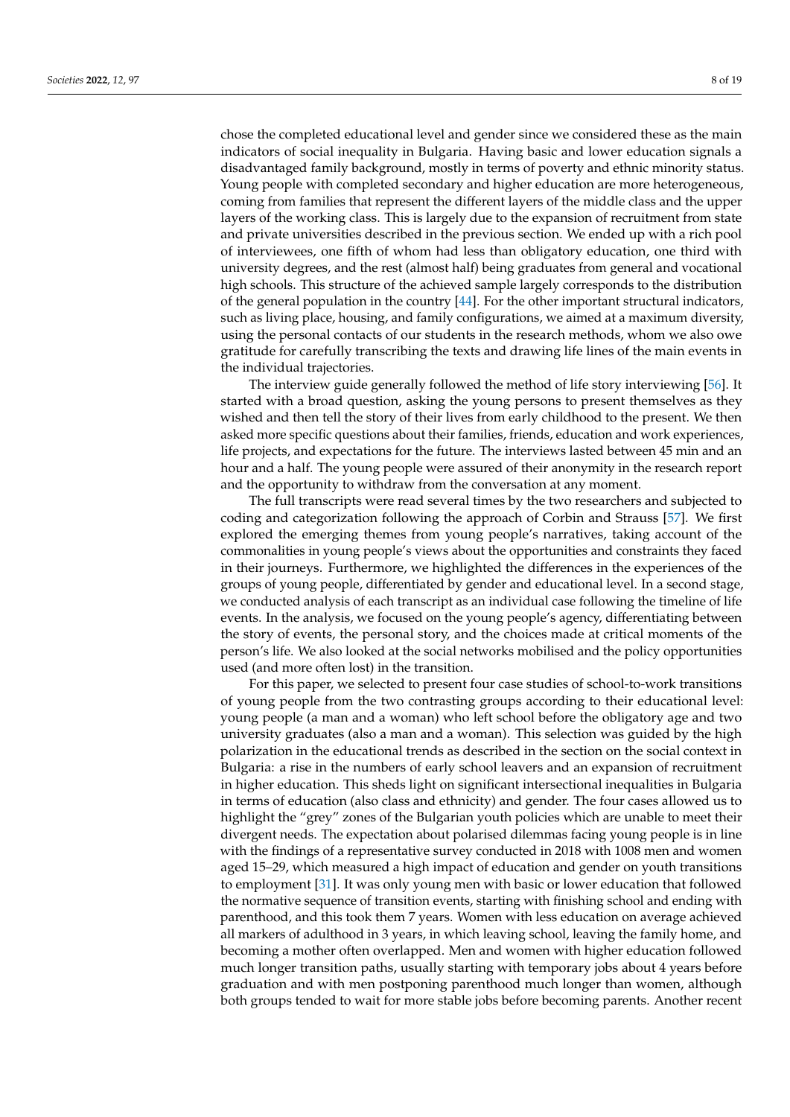chose the completed educational level and gender since we considered these as the main indicators of social inequality in Bulgaria. Having basic and lower education signals a disadvantaged family background, mostly in terms of poverty and ethnic minority status. Young people with completed secondary and higher education are more heterogeneous, coming from families that represent the different layers of the middle class and the upper layers of the working class. This is largely due to the expansion of recruitment from state and private universities described in the previous section. We ended up with a rich pool of interviewees, one fifth of whom had less than obligatory education, one third with university degrees, and the rest (almost half) being graduates from general and vocational high schools. This structure of the achieved sample largely corresponds to the distribution of the general population in the country [\[44\]](#page-17-11). For the other important structural indicators, such as living place, housing, and family configurations, we aimed at a maximum diversity, using the personal contacts of our students in the research methods, whom we also owe gratitude for carefully transcribing the texts and drawing life lines of the main events in the individual trajectories.

The interview guide generally followed the method of life story interviewing [\[56\]](#page-17-23). It started with a broad question, asking the young persons to present themselves as they wished and then tell the story of their lives from early childhood to the present. We then asked more specific questions about their families, friends, education and work experiences, life projects, and expectations for the future. The interviews lasted between 45 min and an hour and a half. The young people were assured of their anonymity in the research report and the opportunity to withdraw from the conversation at any moment.

The full transcripts were read several times by the two researchers and subjected to coding and categorization following the approach of Corbin and Strauss [\[57\]](#page-17-24). We first explored the emerging themes from young people's narratives, taking account of the commonalities in young people's views about the opportunities and constraints they faced in their journeys. Furthermore, we highlighted the differences in the experiences of the groups of young people, differentiated by gender and educational level. In a second stage, we conducted analysis of each transcript as an individual case following the timeline of life events. In the analysis, we focused on the young people's agency, differentiating between the story of events, the personal story, and the choices made at critical moments of the person's life. We also looked at the social networks mobilised and the policy opportunities used (and more often lost) in the transition.

For this paper, we selected to present four case studies of school-to-work transitions of young people from the two contrasting groups according to their educational level: young people (a man and a woman) who left school before the obligatory age and two university graduates (also a man and a woman). This selection was guided by the high polarization in the educational trends as described in the section on the social context in Bulgaria: a rise in the numbers of early school leavers and an expansion of recruitment in higher education. This sheds light on significant intersectional inequalities in Bulgaria in terms of education (also class and ethnicity) and gender. The four cases allowed us to highlight the "grey" zones of the Bulgarian youth policies which are unable to meet their divergent needs. The expectation about polarised dilemmas facing young people is in line with the findings of a representative survey conducted in 2018 with 1008 men and women aged 15–29, which measured a high impact of education and gender on youth transitions to employment [\[31\]](#page-16-29). It was only young men with basic or lower education that followed the normative sequence of transition events, starting with finishing school and ending with parenthood, and this took them 7 years. Women with less education on average achieved all markers of adulthood in 3 years, in which leaving school, leaving the family home, and becoming a mother often overlapped. Men and women with higher education followed much longer transition paths, usually starting with temporary jobs about 4 years before graduation and with men postponing parenthood much longer than women, although both groups tended to wait for more stable jobs before becoming parents. Another recent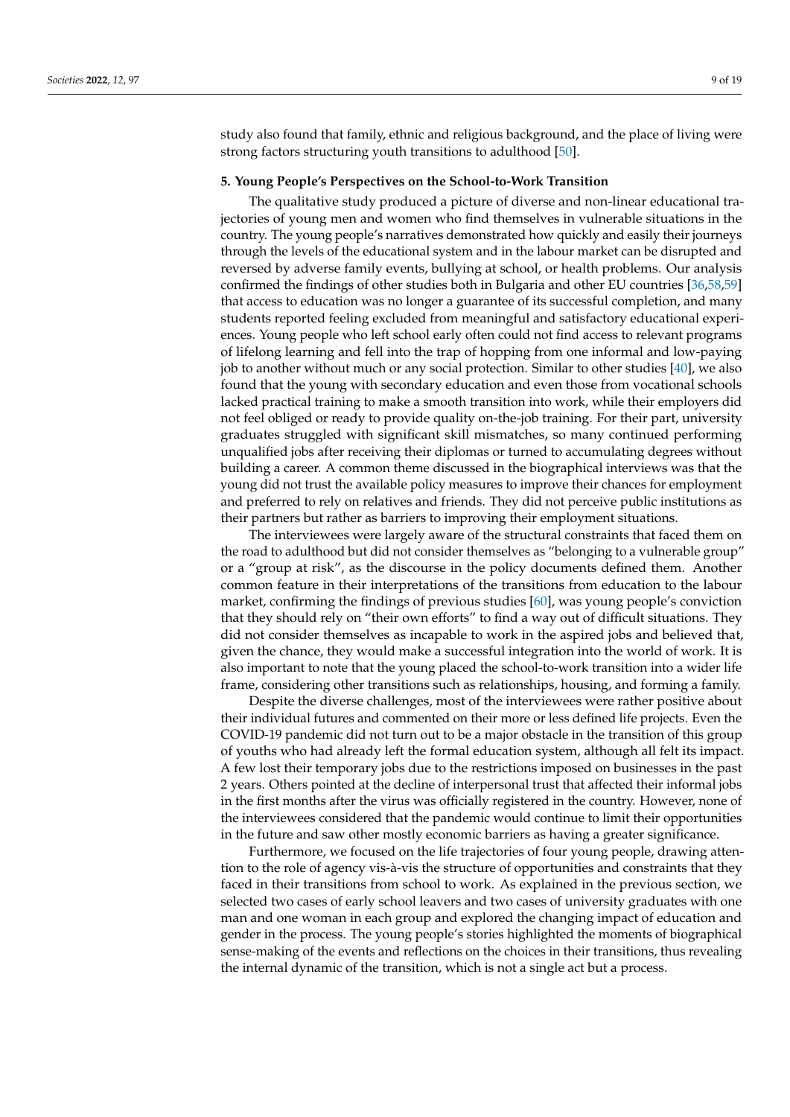study also found that family, ethnic and religious background, and the place of living were strong factors structuring youth transitions to adulthood [\[50\]](#page-17-17).

## **5. Young People's Perspectives on the School-to-Work Transition**

The qualitative study produced a picture of diverse and non-linear educational trajectories of young men and women who find themselves in vulnerable situations in the country. The young people's narratives demonstrated how quickly and easily their journeys through the levels of the educational system and in the labour market can be disrupted and reversed by adverse family events, bullying at school, or health problems. Our analysis confirmed the findings of other studies both in Bulgaria and other EU countries [\[36,](#page-17-3)[58,](#page-17-25)[59\]](#page-17-26) that access to education was no longer a guarantee of its successful completion, and many students reported feeling excluded from meaningful and satisfactory educational experiences. Young people who left school early often could not find access to relevant programs of lifelong learning and fell into the trap of hopping from one informal and low-paying job to another without much or any social protection. Similar to other studies [\[40\]](#page-17-7), we also found that the young with secondary education and even those from vocational schools lacked practical training to make a smooth transition into work, while their employers did not feel obliged or ready to provide quality on-the-job training. For their part, university graduates struggled with significant skill mismatches, so many continued performing unqualified jobs after receiving their diplomas or turned to accumulating degrees without building a career. A common theme discussed in the biographical interviews was that the young did not trust the available policy measures to improve their chances for employment and preferred to rely on relatives and friends. They did not perceive public institutions as their partners but rather as barriers to improving their employment situations.

The interviewees were largely aware of the structural constraints that faced them on the road to adulthood but did not consider themselves as "belonging to a vulnerable group" or a "group at risk", as the discourse in the policy documents defined them. Another common feature in their interpretations of the transitions from education to the labour market, confirming the findings of previous studies [\[60\]](#page-18-0), was young people's conviction that they should rely on "their own efforts" to find a way out of difficult situations. They did not consider themselves as incapable to work in the aspired jobs and believed that, given the chance, they would make a successful integration into the world of work. It is also important to note that the young placed the school-to-work transition into a wider life frame, considering other transitions such as relationships, housing, and forming a family.

Despite the diverse challenges, most of the interviewees were rather positive about their individual futures and commented on their more or less defined life projects. Even the COVID-19 pandemic did not turn out to be a major obstacle in the transition of this group of youths who had already left the formal education system, although all felt its impact. A few lost their temporary jobs due to the restrictions imposed on businesses in the past 2 years. Others pointed at the decline of interpersonal trust that affected their informal jobs in the first months after the virus was officially registered in the country. However, none of the interviewees considered that the pandemic would continue to limit their opportunities in the future and saw other mostly economic barriers as having a greater significance.

Furthermore, we focused on the life trajectories of four young people, drawing attention to the role of agency vis-à-vis the structure of opportunities and constraints that they faced in their transitions from school to work. As explained in the previous section, we selected two cases of early school leavers and two cases of university graduates with one man and one woman in each group and explored the changing impact of education and gender in the process. The young people's stories highlighted the moments of biographical sense-making of the events and reflections on the choices in their transitions, thus revealing the internal dynamic of the transition, which is not a single act but a process.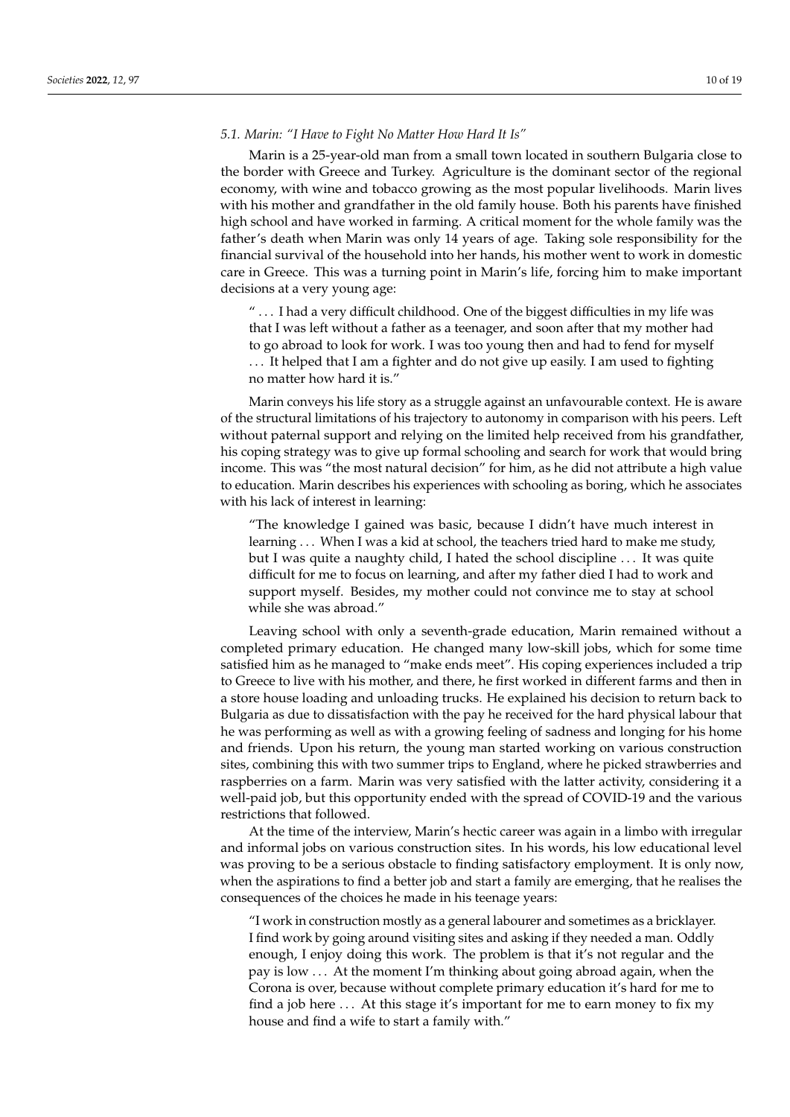*5.1. Marin: "I Have to Fight No Matter How Hard It Is"*

Marin is a 25-year-old man from a small town located in southern Bulgaria close to the border with Greece and Turkey. Agriculture is the dominant sector of the regional economy, with wine and tobacco growing as the most popular livelihoods. Marin lives with his mother and grandfather in the old family house. Both his parents have finished high school and have worked in farming. A critical moment for the whole family was the father's death when Marin was only 14 years of age. Taking sole responsibility for the financial survival of the household into her hands, his mother went to work in domestic care in Greece. This was a turning point in Marin's life, forcing him to make important decisions at a very young age:

" . . . I had a very difficult childhood. One of the biggest difficulties in my life was that I was left without a father as a teenager, and soon after that my mother had to go abroad to look for work. I was too young then and had to fend for myself ... It helped that I am a fighter and do not give up easily. I am used to fighting no matter how hard it is."

Marin conveys his life story as a struggle against an unfavourable context. He is aware of the structural limitations of his trajectory to autonomy in comparison with his peers. Left without paternal support and relying on the limited help received from his grandfather, his coping strategy was to give up formal schooling and search for work that would bring income. This was "the most natural decision" for him, as he did not attribute a high value to education. Marin describes his experiences with schooling as boring, which he associates with his lack of interest in learning:

"The knowledge I gained was basic, because I didn't have much interest in learning . . . When I was a kid at school, the teachers tried hard to make me study, but I was quite a naughty child, I hated the school discipline . . . It was quite difficult for me to focus on learning, and after my father died I had to work and support myself. Besides, my mother could not convince me to stay at school while she was abroad."

Leaving school with only a seventh-grade education, Marin remained without a completed primary education. He changed many low-skill jobs, which for some time satisfied him as he managed to "make ends meet". His coping experiences included a trip to Greece to live with his mother, and there, he first worked in different farms and then in a store house loading and unloading trucks. He explained his decision to return back to Bulgaria as due to dissatisfaction with the pay he received for the hard physical labour that he was performing as well as with a growing feeling of sadness and longing for his home and friends. Upon his return, the young man started working on various construction sites, combining this with two summer trips to England, where he picked strawberries and raspberries on a farm. Marin was very satisfied with the latter activity, considering it a well-paid job, but this opportunity ended with the spread of COVID-19 and the various restrictions that followed.

At the time of the interview, Marin's hectic career was again in a limbo with irregular and informal jobs on various construction sites. In his words, his low educational level was proving to be a serious obstacle to finding satisfactory employment. It is only now, when the aspirations to find a better job and start a family are emerging, that he realises the consequences of the choices he made in his teenage years:

"I work in construction mostly as a general labourer and sometimes as a bricklayer. I find work by going around visiting sites and asking if they needed a man. Oddly enough, I enjoy doing this work. The problem is that it's not regular and the pay is low . . . At the moment I'm thinking about going abroad again, when the Corona is over, because without complete primary education it's hard for me to find a job here . . . At this stage it's important for me to earn money to fix my house and find a wife to start a family with."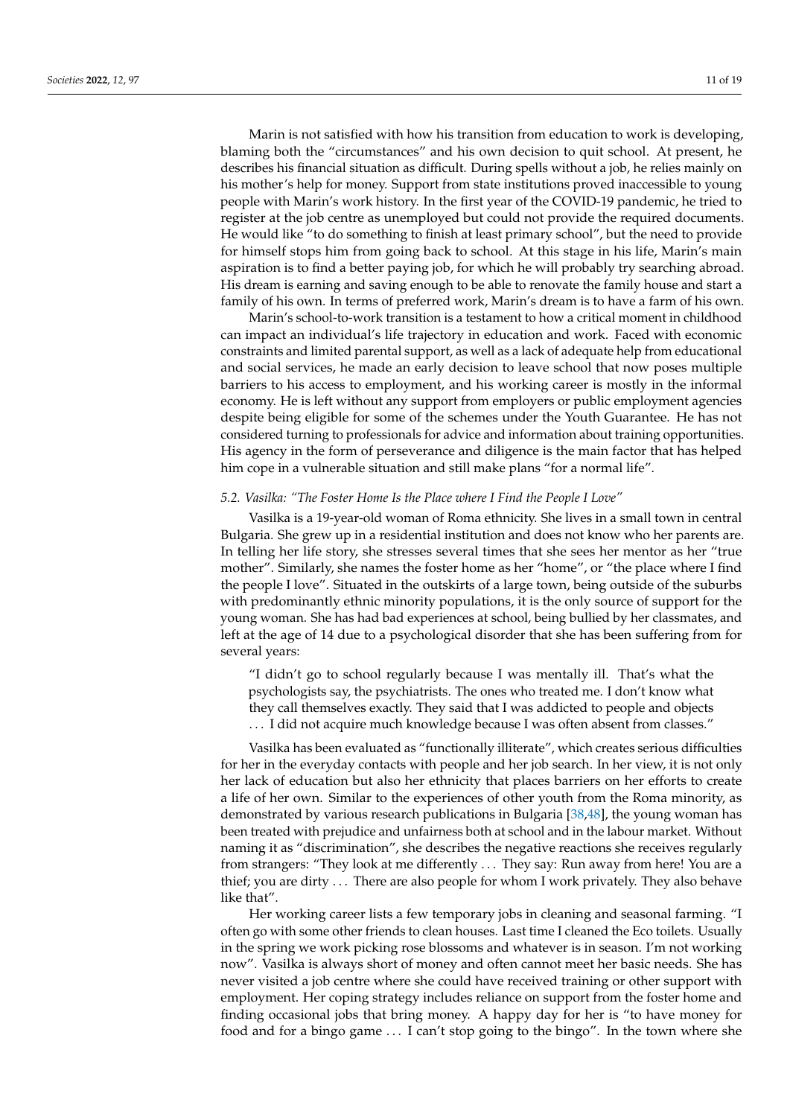Marin is not satisfied with how his transition from education to work is developing, blaming both the "circumstances" and his own decision to quit school. At present, he describes his financial situation as difficult. During spells without a job, he relies mainly on his mother's help for money. Support from state institutions proved inaccessible to young people with Marin's work history. In the first year of the COVID-19 pandemic, he tried to register at the job centre as unemployed but could not provide the required documents. He would like "to do something to finish at least primary school", but the need to provide for himself stops him from going back to school. At this stage in his life, Marin's main aspiration is to find a better paying job, for which he will probably try searching abroad. His dream is earning and saving enough to be able to renovate the family house and start a

Marin's school-to-work transition is a testament to how a critical moment in childhood can impact an individual's life trajectory in education and work. Faced with economic constraints and limited parental support, as well as a lack of adequate help from educational and social services, he made an early decision to leave school that now poses multiple barriers to his access to employment, and his working career is mostly in the informal economy. He is left without any support from employers or public employment agencies despite being eligible for some of the schemes under the Youth Guarantee. He has not considered turning to professionals for advice and information about training opportunities. His agency in the form of perseverance and diligence is the main factor that has helped him cope in a vulnerable situation and still make plans "for a normal life".

family of his own. In terms of preferred work, Marin's dream is to have a farm of his own.

#### *5.2. Vasilka: "The Foster Home Is the Place where I Find the People I Love"*

Vasilka is a 19-year-old woman of Roma ethnicity. She lives in a small town in central Bulgaria. She grew up in a residential institution and does not know who her parents are. In telling her life story, she stresses several times that she sees her mentor as her "true mother". Similarly, she names the foster home as her "home", or "the place where I find the people I love". Situated in the outskirts of a large town, being outside of the suburbs with predominantly ethnic minority populations, it is the only source of support for the young woman. She has had bad experiences at school, being bullied by her classmates, and left at the age of 14 due to a psychological disorder that she has been suffering from for several years:

"I didn't go to school regularly because I was mentally ill. That's what the psychologists say, the psychiatrists. The ones who treated me. I don't know what they call themselves exactly. They said that I was addicted to people and objects . . . I did not acquire much knowledge because I was often absent from classes."

Vasilka has been evaluated as "functionally illiterate", which creates serious difficulties for her in the everyday contacts with people and her job search. In her view, it is not only her lack of education but also her ethnicity that places barriers on her efforts to create a life of her own. Similar to the experiences of other youth from the Roma minority, as demonstrated by various research publications in Bulgaria [\[38](#page-17-5)[,48\]](#page-17-15), the young woman has been treated with prejudice and unfairness both at school and in the labour market. Without naming it as "discrimination", she describes the negative reactions she receives regularly from strangers: "They look at me differently . . . They say: Run away from here! You are a thief; you are dirty . . . There are also people for whom I work privately. They also behave like that".

Her working career lists a few temporary jobs in cleaning and seasonal farming. "I often go with some other friends to clean houses. Last time I cleaned the Eco toilets. Usually in the spring we work picking rose blossoms and whatever is in season. I'm not working now". Vasilka is always short of money and often cannot meet her basic needs. She has never visited a job centre where she could have received training or other support with employment. Her coping strategy includes reliance on support from the foster home and finding occasional jobs that bring money. A happy day for her is "to have money for food and for a bingo game . . . I can't stop going to the bingo". In the town where she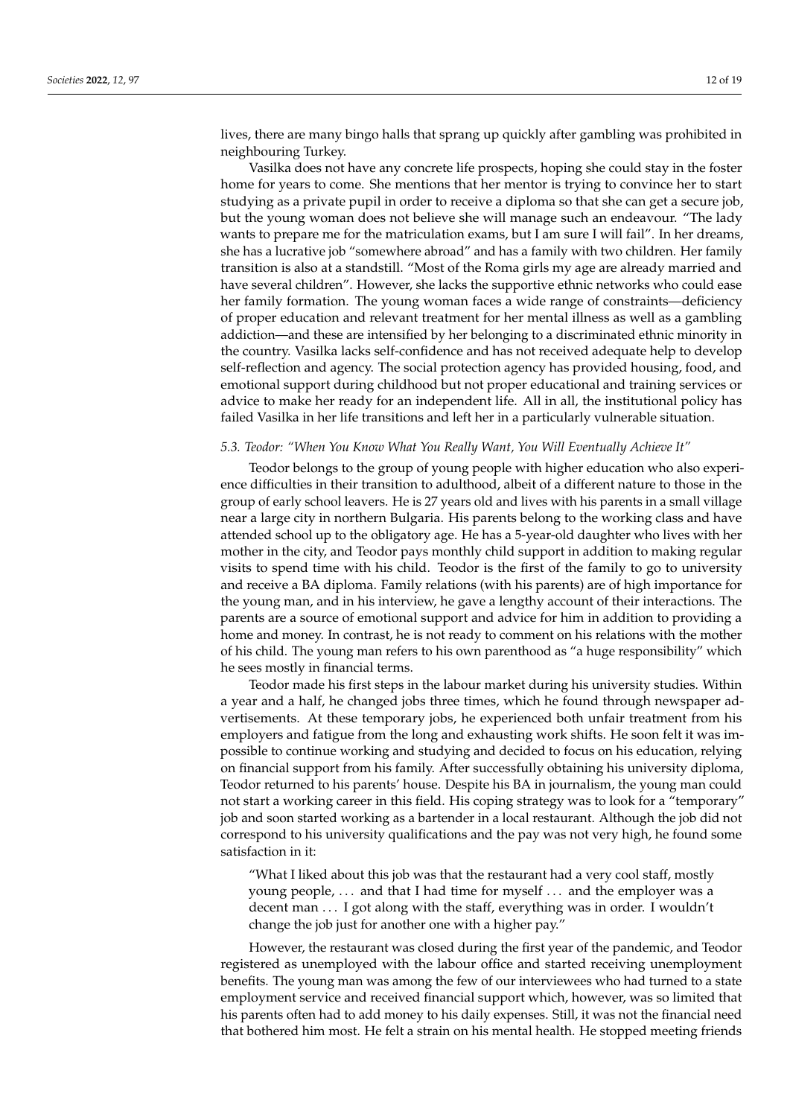lives, there are many bingo halls that sprang up quickly after gambling was prohibited in neighbouring Turkey.

Vasilka does not have any concrete life prospects, hoping she could stay in the foster home for years to come. She mentions that her mentor is trying to convince her to start studying as a private pupil in order to receive a diploma so that she can get a secure job, but the young woman does not believe she will manage such an endeavour. "The lady wants to prepare me for the matriculation exams, but I am sure I will fail". In her dreams, she has a lucrative job "somewhere abroad" and has a family with two children. Her family transition is also at a standstill. "Most of the Roma girls my age are already married and have several children". However, she lacks the supportive ethnic networks who could ease her family formation. The young woman faces a wide range of constraints—deficiency of proper education and relevant treatment for her mental illness as well as a gambling addiction—and these are intensified by her belonging to a discriminated ethnic minority in the country. Vasilka lacks self-confidence and has not received adequate help to develop self-reflection and agency. The social protection agency has provided housing, food, and emotional support during childhood but not proper educational and training services or advice to make her ready for an independent life. All in all, the institutional policy has failed Vasilka in her life transitions and left her in a particularly vulnerable situation.

# *5.3. Teodor: "When You Know What You Really Want, You Will Eventually Achieve It"*

Teodor belongs to the group of young people with higher education who also experience difficulties in their transition to adulthood, albeit of a different nature to those in the group of early school leavers. He is 27 years old and lives with his parents in a small village near a large city in northern Bulgaria. His parents belong to the working class and have attended school up to the obligatory age. He has a 5-year-old daughter who lives with her mother in the city, and Teodor pays monthly child support in addition to making regular visits to spend time with his child. Teodor is the first of the family to go to university and receive a BA diploma. Family relations (with his parents) are of high importance for the young man, and in his interview, he gave a lengthy account of their interactions. The parents are a source of emotional support and advice for him in addition to providing a home and money. In contrast, he is not ready to comment on his relations with the mother of his child. The young man refers to his own parenthood as "a huge responsibility" which he sees mostly in financial terms.

Teodor made his first steps in the labour market during his university studies. Within a year and a half, he changed jobs three times, which he found through newspaper advertisements. At these temporary jobs, he experienced both unfair treatment from his employers and fatigue from the long and exhausting work shifts. He soon felt it was impossible to continue working and studying and decided to focus on his education, relying on financial support from his family. After successfully obtaining his university diploma, Teodor returned to his parents' house. Despite his BA in journalism, the young man could not start a working career in this field. His coping strategy was to look for a "temporary" job and soon started working as a bartender in a local restaurant. Although the job did not correspond to his university qualifications and the pay was not very high, he found some satisfaction in it:

"What I liked about this job was that the restaurant had a very cool staff, mostly young people, ... and that I had time for myself ... and the employer was a decent man ... I got along with the staff, everything was in order. I wouldn't change the job just for another one with a higher pay."

However, the restaurant was closed during the first year of the pandemic, and Teodor registered as unemployed with the labour office and started receiving unemployment benefits. The young man was among the few of our interviewees who had turned to a state employment service and received financial support which, however, was so limited that his parents often had to add money to his daily expenses. Still, it was not the financial need that bothered him most. He felt a strain on his mental health. He stopped meeting friends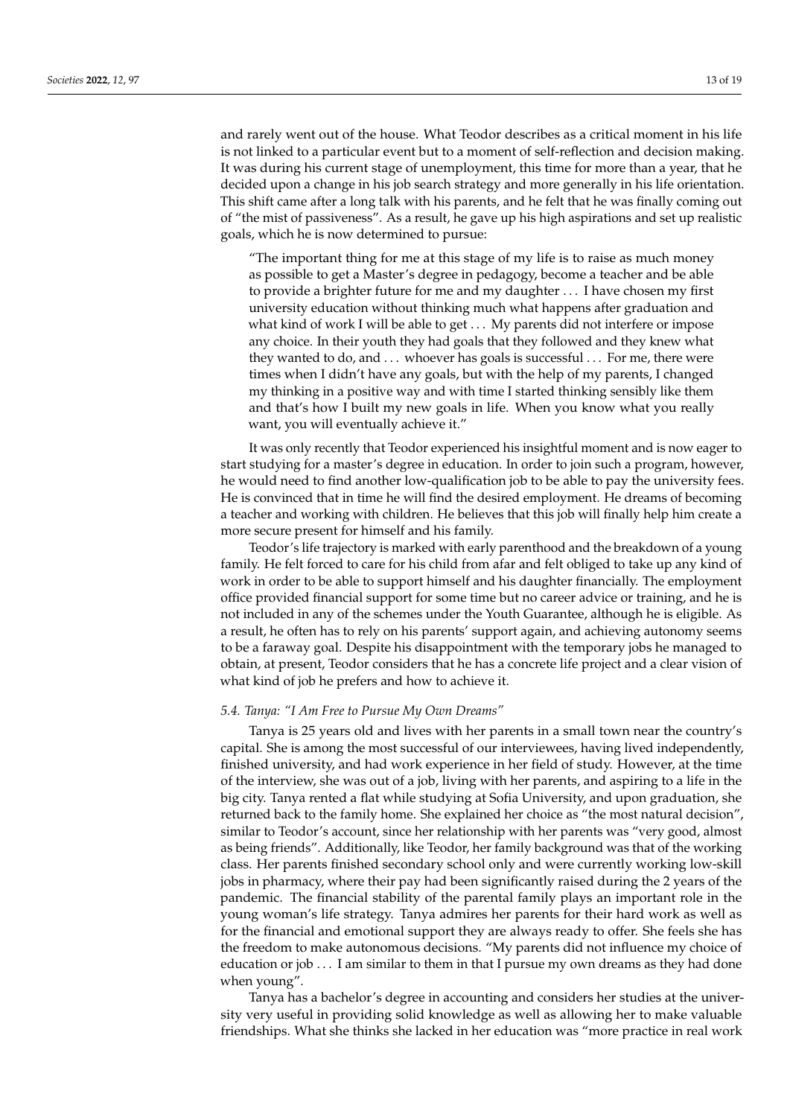and rarely went out of the house. What Teodor describes as a critical moment in his life is not linked to a particular event but to a moment of self-reflection and decision making. It was during his current stage of unemployment, this time for more than a year, that he decided upon a change in his job search strategy and more generally in his life orientation. This shift came after a long talk with his parents, and he felt that he was finally coming out of "the mist of passiveness". As a result, he gave up his high aspirations and set up realistic goals, which he is now determined to pursue:

"The important thing for me at this stage of my life is to raise as much money as possible to get a Master's degree in pedagogy, become a teacher and be able to provide a brighter future for me and my daughter . . . I have chosen my first university education without thinking much what happens after graduation and what kind of work I will be able to get . . . My parents did not interfere or impose any choice. In their youth they had goals that they followed and they knew what they wanted to do, and ... whoever has goals is successful ... For me, there were times when I didn't have any goals, but with the help of my parents, I changed my thinking in a positive way and with time I started thinking sensibly like them and that's how I built my new goals in life. When you know what you really want, you will eventually achieve it."

It was only recently that Teodor experienced his insightful moment and is now eager to start studying for a master's degree in education. In order to join such a program, however, he would need to find another low-qualification job to be able to pay the university fees. He is convinced that in time he will find the desired employment. He dreams of becoming a teacher and working with children. He believes that this job will finally help him create a more secure present for himself and his family.

Teodor's life trajectory is marked with early parenthood and the breakdown of a young family. He felt forced to care for his child from afar and felt obliged to take up any kind of work in order to be able to support himself and his daughter financially. The employment office provided financial support for some time but no career advice or training, and he is not included in any of the schemes under the Youth Guarantee, although he is eligible. As a result, he often has to rely on his parents' support again, and achieving autonomy seems to be a faraway goal. Despite his disappointment with the temporary jobs he managed to obtain, at present, Teodor considers that he has a concrete life project and a clear vision of what kind of job he prefers and how to achieve it.

#### *5.4. Tanya: "I Am Free to Pursue My Own Dreams"*

Tanya is 25 years old and lives with her parents in a small town near the country's capital. She is among the most successful of our interviewees, having lived independently, finished university, and had work experience in her field of study. However, at the time of the interview, she was out of a job, living with her parents, and aspiring to a life in the big city. Tanya rented a flat while studying at Sofia University, and upon graduation, she returned back to the family home. She explained her choice as "the most natural decision", similar to Teodor's account, since her relationship with her parents was "very good, almost as being friends". Additionally, like Teodor, her family background was that of the working class. Her parents finished secondary school only and were currently working low-skill jobs in pharmacy, where their pay had been significantly raised during the 2 years of the pandemic. The financial stability of the parental family plays an important role in the young woman's life strategy. Tanya admires her parents for their hard work as well as for the financial and emotional support they are always ready to offer. She feels she has the freedom to make autonomous decisions. "My parents did not influence my choice of education or job . . . I am similar to them in that I pursue my own dreams as they had done when young".

Tanya has a bachelor's degree in accounting and considers her studies at the university very useful in providing solid knowledge as well as allowing her to make valuable friendships. What she thinks she lacked in her education was "more practice in real work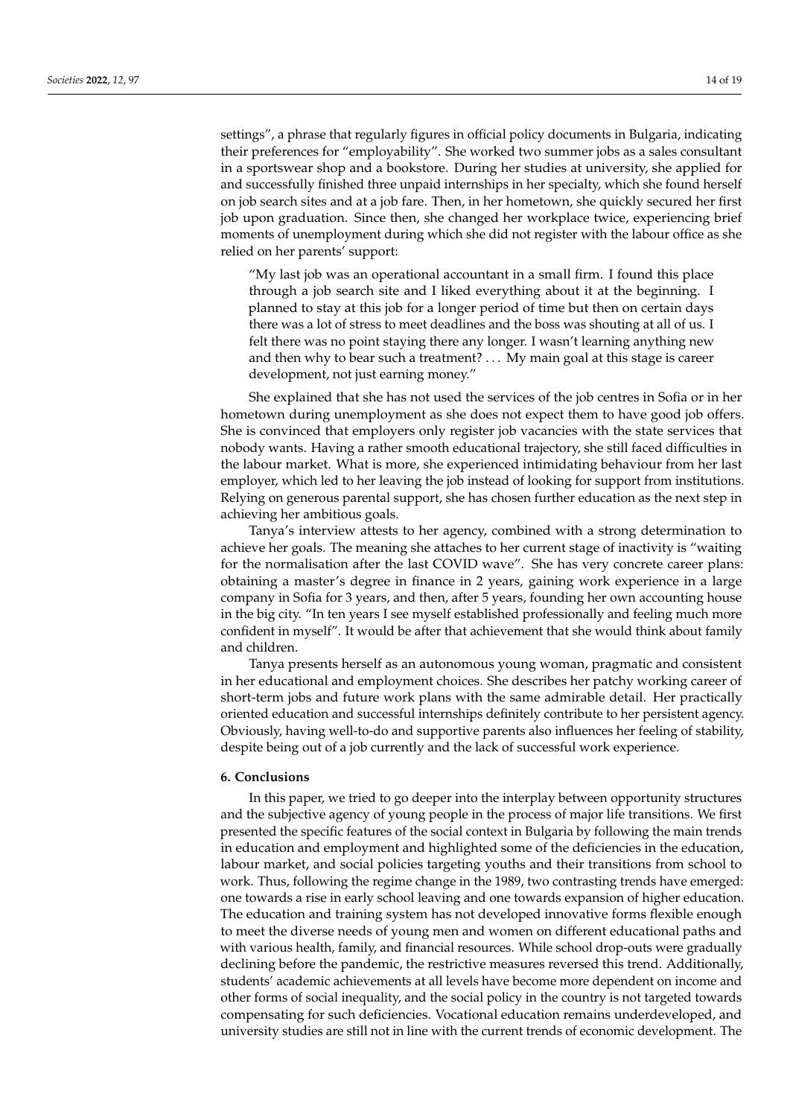settings", a phrase that regularly figures in official policy documents in Bulgaria, indicating their preferences for "employability". She worked two summer jobs as a sales consultant in a sportswear shop and a bookstore. During her studies at university, she applied for and successfully finished three unpaid internships in her specialty, which she found herself on job search sites and at a job fare. Then, in her hometown, she quickly secured her first job upon graduation. Since then, she changed her workplace twice, experiencing brief moments of unemployment during which she did not register with the labour office as she relied on her parents' support:

"My last job was an operational accountant in a small firm. I found this place through a job search site and I liked everything about it at the beginning. I planned to stay at this job for a longer period of time but then on certain days there was a lot of stress to meet deadlines and the boss was shouting at all of us. I felt there was no point staying there any longer. I wasn't learning anything new and then why to bear such a treatment? . . . My main goal at this stage is career development, not just earning money."

She explained that she has not used the services of the job centres in Sofia or in her hometown during unemployment as she does not expect them to have good job offers. She is convinced that employers only register job vacancies with the state services that nobody wants. Having a rather smooth educational trajectory, she still faced difficulties in the labour market. What is more, she experienced intimidating behaviour from her last employer, which led to her leaving the job instead of looking for support from institutions. Relying on generous parental support, she has chosen further education as the next step in achieving her ambitious goals.

Tanya's interview attests to her agency, combined with a strong determination to achieve her goals. The meaning she attaches to her current stage of inactivity is "waiting for the normalisation after the last COVID wave". She has very concrete career plans: obtaining a master's degree in finance in 2 years, gaining work experience in a large company in Sofia for 3 years, and then, after 5 years, founding her own accounting house in the big city. "In ten years I see myself established professionally and feeling much more confident in myself". It would be after that achievement that she would think about family and children.

Tanya presents herself as an autonomous young woman, pragmatic and consistent in her educational and employment choices. She describes her patchy working career of short-term jobs and future work plans with the same admirable detail. Her practically oriented education and successful internships definitely contribute to her persistent agency. Obviously, having well-to-do and supportive parents also influences her feeling of stability, despite being out of a job currently and the lack of successful work experience.

# **6. Conclusions**

In this paper, we tried to go deeper into the interplay between opportunity structures and the subjective agency of young people in the process of major life transitions. We first presented the specific features of the social context in Bulgaria by following the main trends in education and employment and highlighted some of the deficiencies in the education, labour market, and social policies targeting youths and their transitions from school to work. Thus, following the regime change in the 1989, two contrasting trends have emerged: one towards a rise in early school leaving and one towards expansion of higher education. The education and training system has not developed innovative forms flexible enough to meet the diverse needs of young men and women on different educational paths and with various health, family, and financial resources. While school drop-outs were gradually declining before the pandemic, the restrictive measures reversed this trend. Additionally, students' academic achievements at all levels have become more dependent on income and other forms of social inequality, and the social policy in the country is not targeted towards compensating for such deficiencies. Vocational education remains underdeveloped, and university studies are still not in line with the current trends of economic development. The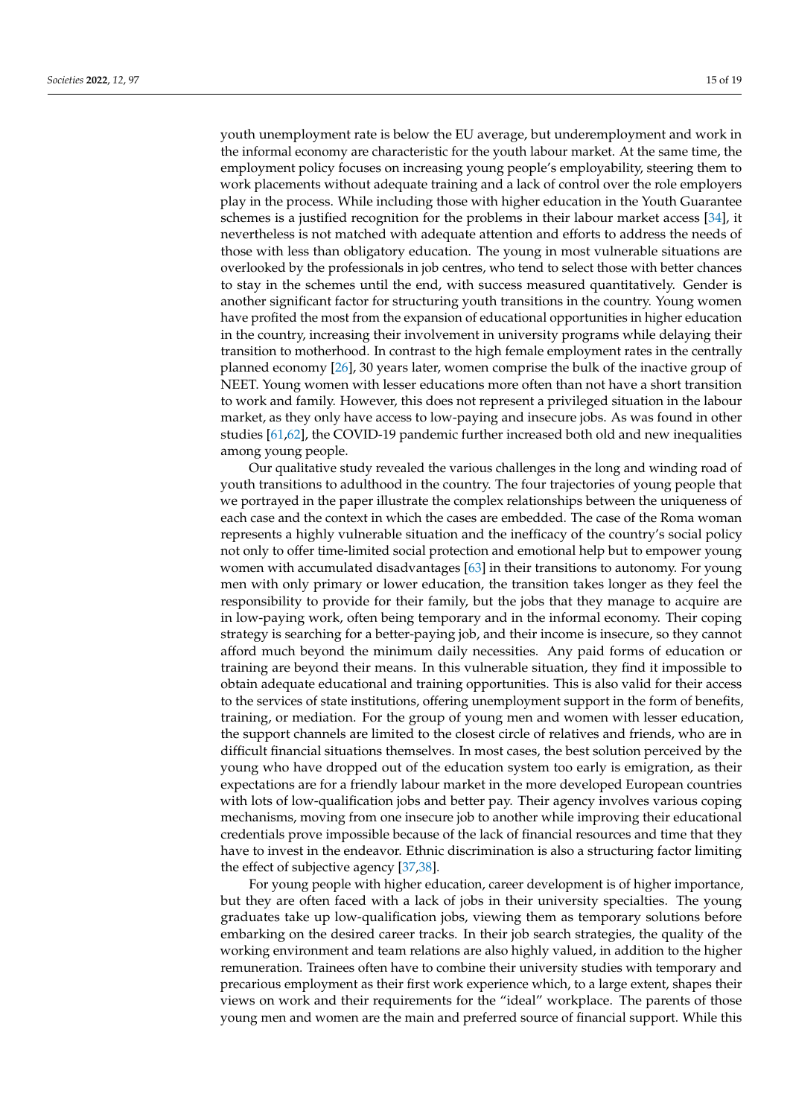youth unemployment rate is below the EU average, but underemployment and work in the informal economy are characteristic for the youth labour market. At the same time, the employment policy focuses on increasing young people's employability, steering them to work placements without adequate training and a lack of control over the role employers play in the process. While including those with higher education in the Youth Guarantee schemes is a justified recognition for the problems in their labour market access [\[34\]](#page-17-1), it nevertheless is not matched with adequate attention and efforts to address the needs of those with less than obligatory education. The young in most vulnerable situations are overlooked by the professionals in job centres, who tend to select those with better chances to stay in the schemes until the end, with success measured quantitatively. Gender is another significant factor for structuring youth transitions in the country. Young women have profited the most from the expansion of educational opportunities in higher education in the country, increasing their involvement in university programs while delaying their transition to motherhood. In contrast to the high female employment rates in the centrally planned economy [\[26\]](#page-16-24), 30 years later, women comprise the bulk of the inactive group of NEET. Young women with lesser educations more often than not have a short transition to work and family. However, this does not represent a privileged situation in the labour market, as they only have access to low-paying and insecure jobs. As was found in other studies [\[61,](#page-18-1)[62\]](#page-18-2), the COVID-19 pandemic further increased both old and new inequalities among young people.

Our qualitative study revealed the various challenges in the long and winding road of youth transitions to adulthood in the country. The four trajectories of young people that we portrayed in the paper illustrate the complex relationships between the uniqueness of each case and the context in which the cases are embedded. The case of the Roma woman represents a highly vulnerable situation and the inefficacy of the country's social policy not only to offer time-limited social protection and emotional help but to empower young women with accumulated disadvantages [\[63\]](#page-18-3) in their transitions to autonomy. For young men with only primary or lower education, the transition takes longer as they feel the responsibility to provide for their family, but the jobs that they manage to acquire are in low-paying work, often being temporary and in the informal economy. Their coping strategy is searching for a better-paying job, and their income is insecure, so they cannot afford much beyond the minimum daily necessities. Any paid forms of education or training are beyond their means. In this vulnerable situation, they find it impossible to obtain adequate educational and training opportunities. This is also valid for their access to the services of state institutions, offering unemployment support in the form of benefits, training, or mediation. For the group of young men and women with lesser education, the support channels are limited to the closest circle of relatives and friends, who are in difficult financial situations themselves. In most cases, the best solution perceived by the young who have dropped out of the education system too early is emigration, as their expectations are for a friendly labour market in the more developed European countries with lots of low-qualification jobs and better pay. Their agency involves various coping mechanisms, moving from one insecure job to another while improving their educational credentials prove impossible because of the lack of financial resources and time that they have to invest in the endeavor. Ethnic discrimination is also a structuring factor limiting the effect of subjective agency [\[37,](#page-17-4)[38\]](#page-17-5).

For young people with higher education, career development is of higher importance, but they are often faced with a lack of jobs in their university specialties. The young graduates take up low-qualification jobs, viewing them as temporary solutions before embarking on the desired career tracks. In their job search strategies, the quality of the working environment and team relations are also highly valued, in addition to the higher remuneration. Trainees often have to combine their university studies with temporary and precarious employment as their first work experience which, to a large extent, shapes their views on work and their requirements for the "ideal" workplace. The parents of those young men and women are the main and preferred source of financial support. While this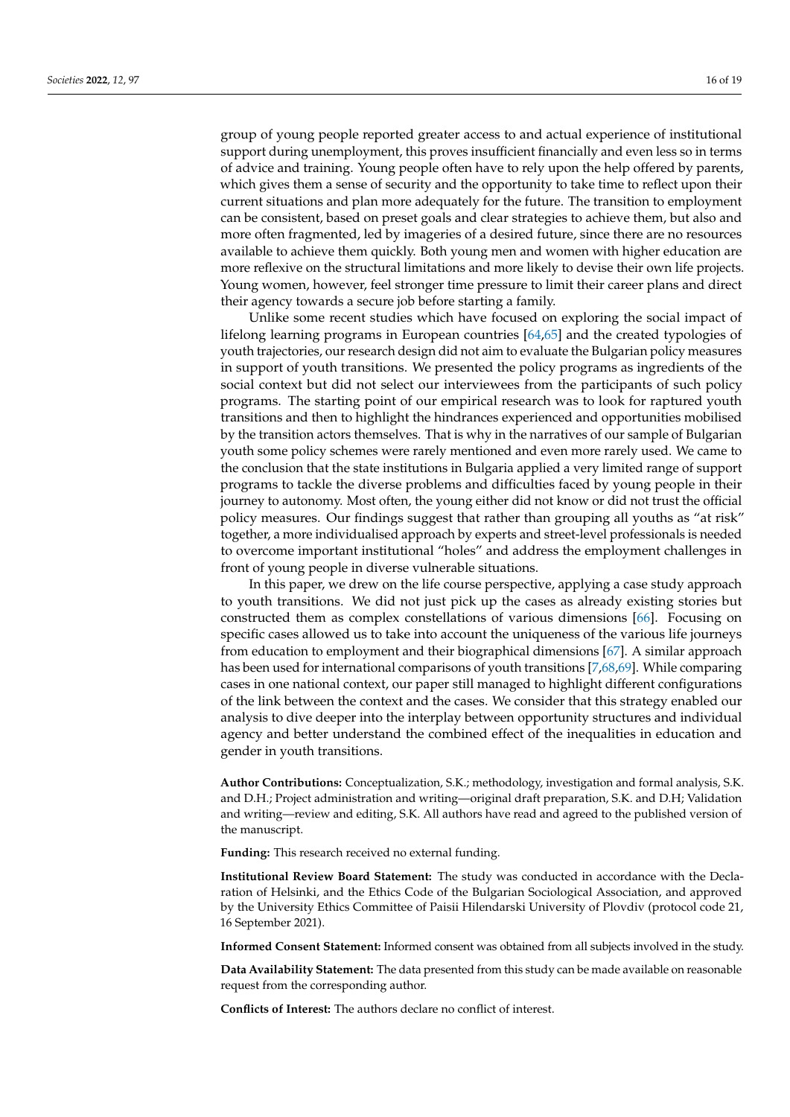group of young people reported greater access to and actual experience of institutional support during unemployment, this proves insufficient financially and even less so in terms of advice and training. Young people often have to rely upon the help offered by parents, which gives them a sense of security and the opportunity to take time to reflect upon their current situations and plan more adequately for the future. The transition to employment can be consistent, based on preset goals and clear strategies to achieve them, but also and more often fragmented, led by imageries of a desired future, since there are no resources available to achieve them quickly. Both young men and women with higher education are more reflexive on the structural limitations and more likely to devise their own life projects. Young women, however, feel stronger time pressure to limit their career plans and direct their agency towards a secure job before starting a family.

Unlike some recent studies which have focused on exploring the social impact of lifelong learning programs in European countries [\[64](#page-18-4)[,65\]](#page-18-5) and the created typologies of youth trajectories, our research design did not aim to evaluate the Bulgarian policy measures in support of youth transitions. We presented the policy programs as ingredients of the social context but did not select our interviewees from the participants of such policy programs. The starting point of our empirical research was to look for raptured youth transitions and then to highlight the hindrances experienced and opportunities mobilised by the transition actors themselves. That is why in the narratives of our sample of Bulgarian youth some policy schemes were rarely mentioned and even more rarely used. We came to the conclusion that the state institutions in Bulgaria applied a very limited range of support programs to tackle the diverse problems and difficulties faced by young people in their journey to autonomy. Most often, the young either did not know or did not trust the official policy measures. Our findings suggest that rather than grouping all youths as "at risk" together, a more individualised approach by experts and street-level professionals is needed to overcome important institutional "holes" and address the employment challenges in front of young people in diverse vulnerable situations.

In this paper, we drew on the life course perspective, applying a case study approach to youth transitions. We did not just pick up the cases as already existing stories but constructed them as complex constellations of various dimensions [\[66\]](#page-18-6). Focusing on specific cases allowed us to take into account the uniqueness of the various life journeys from education to employment and their biographical dimensions [\[67\]](#page-18-7). A similar approach has been used for international comparisons of youth transitions [\[7,](#page-16-6)[68,](#page-18-8)[69\]](#page-18-9). While comparing cases in one national context, our paper still managed to highlight different configurations of the link between the context and the cases. We consider that this strategy enabled our analysis to dive deeper into the interplay between opportunity structures and individual agency and better understand the combined effect of the inequalities in education and gender in youth transitions.

**Author Contributions:** Conceptualization, S.K.; methodology, investigation and formal analysis, S.K. and D.H.; Project administration and writing—original draft preparation, S.K. and D.H; Validation and writing—review and editing, S.K. All authors have read and agreed to the published version of the manuscript.

**Funding:** This research received no external funding.

**Institutional Review Board Statement:** The study was conducted in accordance with the Declaration of Helsinki, and the Ethics Code of the Bulgarian Sociological Association, and approved by the University Ethics Committee of Paisii Hilendarski University of Plovdiv (protocol code 21, 16 September 2021).

**Informed Consent Statement:** Informed consent was obtained from all subjects involved in the study.

**Data Availability Statement:** The data presented from this study can be made available on reasonable request from the corresponding author.

**Conflicts of Interest:** The authors declare no conflict of interest.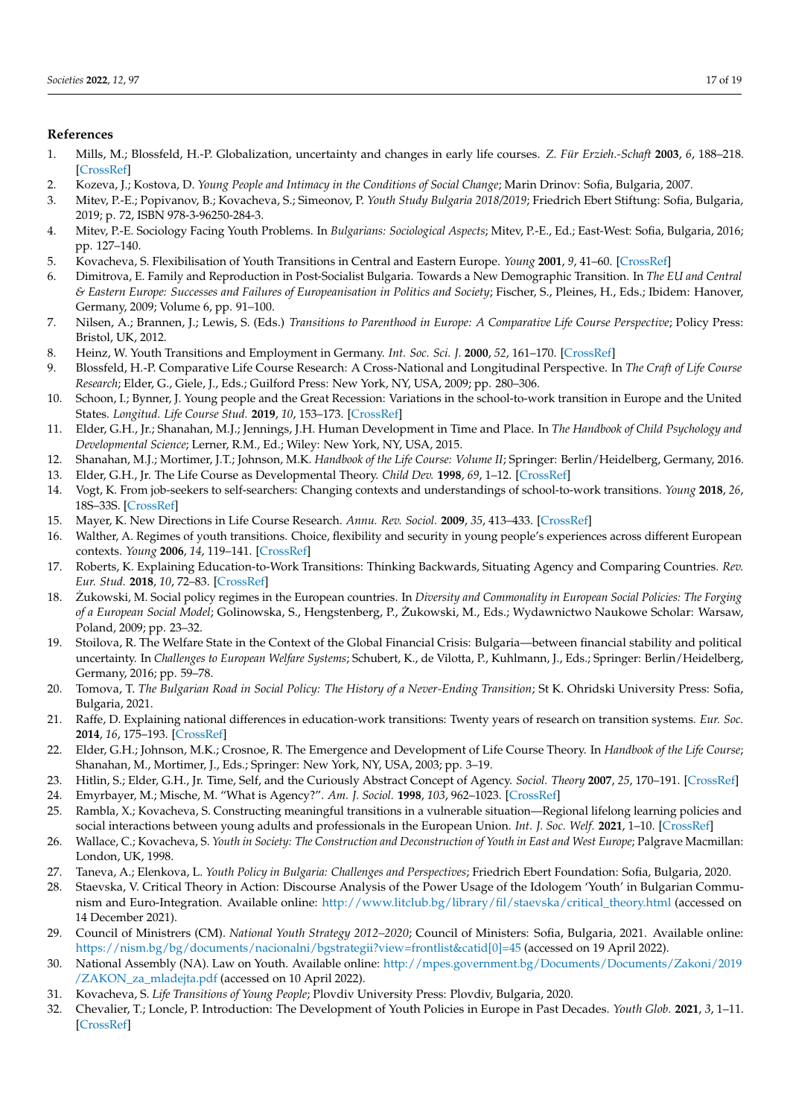# **References**

- <span id="page-16-0"></span>1. Mills, M.; Blossfeld, H.-P. Globalization, uncertainty and changes in early life courses. *Z. Für Erzieh.-Schaft* **2003**, *6*, 188–218. [\[CrossRef\]](http://doi.org/10.1007/s11618-003-0023-4)
- <span id="page-16-1"></span>2. Kоzeva, J.; Kоstova, D. *Young People and Intimacy in the Conditions of Social Change*; Marin Drinov: Sofia, Bulgaria, 2007.
- <span id="page-16-2"></span>3. Mitev, P.-E.; Popivanov, B.; Kovacheva, S.; Simeonov, P. *Youth Study Bulgaria 2018/2019*; Friedrich Ebert Stiftung: Sofia, Bulgaria, 2019; p. 72, ISBN 978-3-96250-284-3.
- <span id="page-16-3"></span>4. Mitev, P.-E. Sociology Facing Youth Problems. In *Bulgarians: Sociological Aspects*; Mitev, P.-E., Ed.; East-West: Sofia, Bulgaria, 2016; pp. 127–140.
- <span id="page-16-4"></span>5. Kovacheva, S. Flexibilisation of Youth Transitions in Central and Eastern Europe. *Young* **2001**, *9*, 41–60. [\[CrossRef\]](http://doi.org/10.1177/110330880100900104)
- <span id="page-16-5"></span>6. Dimitrova, E. Family and Reproduction in Post-Socialist Bulgaria. Towards a New Demographic Transition. In *The EU and Central & Eastern Europe: Successes and Failures of Europeanisation in Politics and Society*; Fischer, S., Pleines, H., Eds.; Ibidem: Hanover, Germany, 2009; Volume 6, pp. 91–100.
- <span id="page-16-6"></span>7. Nilsen, A.; Brannen, J.; Lewis, S. (Eds.) *Transitions to Parenthood in Europe: A Comparative Life Course Perspective*; Policy Press: Bristol, UK, 2012.
- <span id="page-16-7"></span>8. Heinz, W. Youth Transitions and Employment in Germany. *Int. Soc. Sci. J.* **2000**, *52*, 161–170. [\[CrossRef\]](http://doi.org/10.1111/1468-2451.00248)
- 9. Blossfeld, H.-P. Comparative Life Course Research: A Cross-National and Longitudinal Perspective. In *The Craft of Life Course Research*; Elder, G., Giele, J., Eds.; Guilford Press: New York, NY, USA, 2009; pp. 280–306.
- <span id="page-16-8"></span>10. Schoon, I.; Bynner, J. Young people and the Great Recession: Variations in the school-to-work transition in Europe and the United States. *Longitud. Life Course Stud.* **2019**, *10*, 153–173. [\[CrossRef\]](http://doi.org/10.1332/175795919X15514456677349)
- <span id="page-16-9"></span>11. Elder, G.H., Jr.; Shanahan, M.J.; Jennings, J.H. Human Development in Time and Place. In *The Handbook of Child Psychology and Developmental Science*; Lerner, R.M., Ed.; Wiley: New York, NY, USA, 2015.
- <span id="page-16-10"></span>12. Shanahan, M.J.; Mortimer, J.T.; Johnson, M.K. *Handbook of the Life Course: Volume II*; Springer: Berlin/Heidelberg, Germany, 2016.
- <span id="page-16-11"></span>13. Elder, G.H., Jr. The Life Course as Developmental Theory. *Child Dev.* **1998**, *69*, 1–12. [\[CrossRef\]](http://doi.org/10.1111/j.1467-8624.1998.tb06128.x)
- <span id="page-16-12"></span>14. Vogt, K. From job-seekers to self-searchers: Changing contexts and understandings of school-to-work transitions. *Young* **2018**, *26*, 18S–33S. [\[CrossRef\]](http://doi.org/10.1177/1103308817741006)
- <span id="page-16-13"></span>15. Mayer, K. New Directions in Life Course Research. *Annu. Rev. Sociol.* **2009**, *35*, 413–433. [\[CrossRef\]](http://doi.org/10.1146/annurev.soc.34.040507.134619)
- <span id="page-16-14"></span>16. Walther, A. Regimes of youth transitions. Choice, flexibility and security in young people's experiences across different European contexts. *Young* **2006**, *14*, 119–141. [\[CrossRef\]](http://doi.org/10.1177/1103308806062737)
- <span id="page-16-15"></span>17. Roberts, K. Explaining Education-to-Work Transitions: Thinking Backwards, Situating Agency and Comparing Countries. *Rev. Eur. Stud.* **2018**, *10*, 72–83. [\[CrossRef\]](http://doi.org/10.5539/res.v10n1p72)
- <span id="page-16-16"></span>18. Zukowski, M. Social policy regimes in the European countries. In *Diversity and Commonality in European Social Policies: The Forging of a European Social Model*; Golinowska, S., Hengstenberg, P., Zukowski, M., Eds.; Wydawnictwo Naukowe Scholar: Warsaw, ˙ Poland, 2009; pp. 23–32.
- <span id="page-16-17"></span>19. Stoilova, R. The Welfare State in the Context of the Global Financial Crisis: Bulgaria—between financial stability and political uncertainty. In *Challenges to European Welfare Systems*; Schubert, K., de Vilotta, P., Kuhlmann, J., Eds.; Springer: Berlin/Heidelberg, Germany, 2016; pp. 59–78.
- <span id="page-16-18"></span>20. Tomova, T. *The Bulgarian Road in Social Policy: The History of a Never-Ending Transition;* St K. Ohridski University Press: Sofia, Bulgaria, 2021.
- <span id="page-16-19"></span>21. Raffe, D. Explaining national differences in education-work transitions: Twenty years of research on transition systems. *Eur. Soc.* **2014**, *16*, 175–193. [\[CrossRef\]](http://doi.org/10.1080/14616696.2013.821619)
- <span id="page-16-20"></span>22. Elder, G.H.; Johnson, M.K.; Crosnoe, R. The Emergence and Development of Life Course Theory. In *Handbook of the Life Course*; Shanahan, M., Mortimer, J., Eds.; Springer: New York, NY, USA, 2003; pp. 3–19.
- <span id="page-16-21"></span>23. Hitlin, S.; Elder, G.H., Jr. Time, Self, and the Curiously Abstract Concept of Agency. *Sociol. Theory* **2007**, *25*, 170–191. [\[CrossRef\]](http://doi.org/10.1111/j.1467-9558.2007.00303.x)
- <span id="page-16-22"></span>24. Emyrbayer, M.; Mische, M. "What is Agency?". *Am. J. Sociol.* **1998**, *103*, 962–1023. [\[CrossRef\]](http://doi.org/10.1086/231294)
- <span id="page-16-23"></span>25. Rambla, X.; Kovacheva, S. Constructing meaningful transitions in a vulnerable situation—Regional lifelong learning policies and social interactions between young adults and professionals in the European Union. *Int. J. Soc. Welf.* **2021**, 1–10. [\[CrossRef\]](http://doi.org/10.1111/ijsw.12505)
- <span id="page-16-24"></span>26. Wallace, C.; Kovacheva, S. *Youth in Society: The Construction and Deconstruction of Youth in East and West Europe*; Palgrave Macmillan: London, UK, 1998.
- <span id="page-16-25"></span>27. Taneva, A.; Elenkova, L. *Youth Policy in Bulgaria: Challenges and Perspectives*; Friedrich Ebert Foundation: Sofia, Bulgaria, 2020.
- <span id="page-16-26"></span>28. Staevska, V. Critical Theory in Action: Discourse Analysis of the Power Usage of the Idologem 'Youth' in Bulgarian Communism and Euro-Integration. Available online: [http://www.litclub.bg/library/fil/staevska/critical\\_theory.html](http://www.litclub.bg/library/fil/staevska/critical_theory.html) (accessed on 14 December 2021).
- <span id="page-16-27"></span>29. Council of Ministrers (CM). *National Youth Strategy 2012–2020*; Council of Ministers: Sofia, Bulgaria, 2021. Available online: [https://nism.bg/bg/documents/nacionalni/bgstrategii?view=frontlist&catid\[0\]=45](https://nism.bg/bg/documents/nacionalni/bgstrategii?view=frontlist&catid[0]=45) (accessed on 19 April 2022).
- <span id="page-16-28"></span>30. National Assembly (NA). Law on Youth. Available online: [http://mpes.government.bg/Documents/Documents/Zakoni/2019](http://mpes.government.bg/Documents/Documents/Zakoni/2019/ZAKON_za_mladejta.pdf) [/ZAKON\\_za\\_mladejta.pdf](http://mpes.government.bg/Documents/Documents/Zakoni/2019/ZAKON_za_mladejta.pdf) (accessed on 10 April 2022).
- <span id="page-16-29"></span>31. Kovacheva, S. *Life Transitions of Young People*; Plovdiv University Press: Plovdiv, Bulgaria, 2020.
- <span id="page-16-30"></span>32. Chevalier, T.; Loncle, P. Introduction: The Development of Youth Policies in Europe in Past Decades. *Youth Glob.* **2021**, *3*, 1–11. [\[CrossRef\]](http://doi.org/10.1163/25895745-03010001)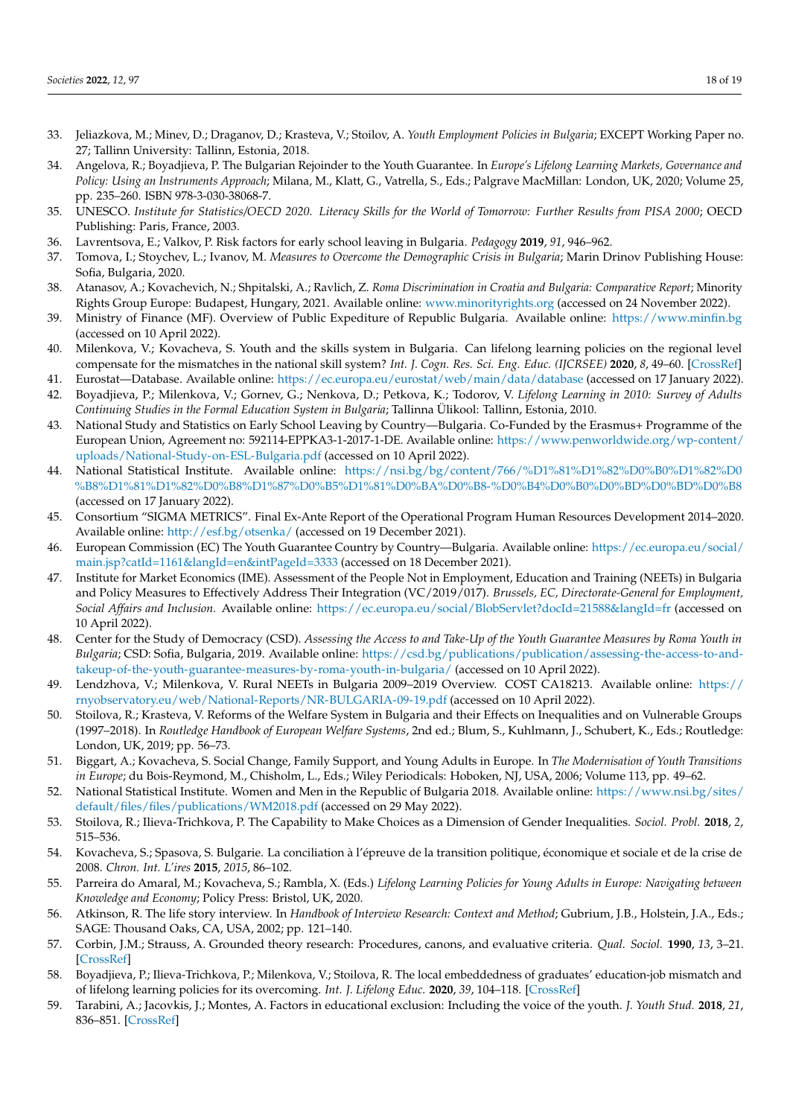- <span id="page-17-0"></span>33. Jeliazkova, M.; Minev, D.; Draganov, D.; Krasteva, V.; Stoilov, A. *Youth Employment Policies in Bulgaria*; EXCEPT Working Paper no. 27; Tallinn University: Tallinn, Estonia, 2018.
- <span id="page-17-1"></span>34. Angelova, R.; Boyadjieva, P. The Bulgarian Rejoinder to the Youth Guarantee. In *Europe's Lifelong Learning Markets, Governance and Policy: Using an Instruments Approach*; Milana, M., Klatt, G., Vatrella, S., Eds.; Palgrave MacMillan: London, UK, 2020; Volume 25, pp. 235–260. ISBN 978-3-030-38068-7.
- <span id="page-17-2"></span>35. UNESCO. *Institute for Statistics/OECD 2020. Literacy Skills for the World of Tomorrow: Further Results from PISA 2000*; OECD Publishing: Paris, France, 2003.
- <span id="page-17-3"></span>36. Lavrentsova, E.; Valkov, P. Risk factors for early school leaving in Bulgaria. *Pedagogy* **2019**, *91*, 946–962.
- <span id="page-17-4"></span>37. Tomova, I.; Stoychev, L.; Ivanov, M. *Measures to Overcome the Demographic Crisis in Bulgaria*; Marin Drinov Publishing House: Sofia, Bulgaria, 2020.
- <span id="page-17-5"></span>38. Atanasov, A.; Kovachevich, N.; Shpitalski, A.; Ravlich, Z. *Roma Discrimination in Croatia and Bulgaria: Comparative Report*; Minority Rights Group Europe: Budapest, Hungary, 2021. Available online: <www.minorityrights.org> (accessed on 24 November 2022).
- <span id="page-17-6"></span>39. Ministry of Finance (MF). Overview of Public Expediture of Republic Bulgaria. Available online: <https://www.minfin.bg> (accessed on 10 April 2022).
- <span id="page-17-7"></span>40. Milenkova, V.; Kovacheva, S. Youth and the skills system in Bulgaria. Can lifelong learning policies on the regional level compensate for the mismatches in the national skill system? *Int. J. Cogn. Res. Sci. Eng. Educ. (IJCRSEE)* **2020**, *8*, 49–60. [\[CrossRef\]](http://doi.org/10.5937/IJCRSEE2001049M)
- <span id="page-17-8"></span>41. Eurostat—Database. Available online: <https://ec.europa.eu/eurostat/web/main/data/database> (accessed on 17 January 2022).
- <span id="page-17-9"></span>42. Boyadjieva, P.; Milenkova, V.; Gornev, G.; Nenkova, D.; Petkova, K.; Todorov, V. *Lifelong Learning in 2010: Survey of Adults Continuing Studies in the Formal Education System in Bulgaria*; Tallinna Ülikool: Tallinn, Estonia, 2010.
- <span id="page-17-10"></span>43. National Study and Statistics on Early School Leaving by Country—Bulgaria. Co-Funded by the Erasmus+ Programme of the European Union, Agreement no: 592114-EPPKA3-1-2017-1-DE. Available online: [https://www.penworldwide.org/wp-content/](https://www.penworldwide.org/wp-content/uploads/National-Study-on-ESL-Bulgaria.pdf) [uploads/National-Study-on-ESL-Bulgaria.pdf](https://www.penworldwide.org/wp-content/uploads/National-Study-on-ESL-Bulgaria.pdf) (accessed on 10 April 2022).
- <span id="page-17-11"></span>44. National Statistical Institute. Available online: [https://nsi.bg/bg/content/766/%D1%81%D1%82%D0%B0%D1%82%D0](https://nsi.bg/bg/content/766/%D1%81%D1%82%D0%B0%D1%82%D0%B8%D1%81%D1%82%D0%B8%D1%87%D0%B5%D1%81%D0%BA%D0%B8-%D0%B4%D0%B0%D0%BD%D0%BD%D0%B8) [%B8%D1%81%D1%82%D0%B8%D1%87%D0%B5%D1%81%D0%BA%D0%B8-%D0%B4%D0%B0%D0%BD%D0%BD%D0%B8](https://nsi.bg/bg/content/766/%D1%81%D1%82%D0%B0%D1%82%D0%B8%D1%81%D1%82%D0%B8%D1%87%D0%B5%D1%81%D0%BA%D0%B8-%D0%B4%D0%B0%D0%BD%D0%BD%D0%B8) (accessed on 17 January 2022).
- <span id="page-17-12"></span>45. Consortium "SIGMA METRICS". Final Ex-Ante Report of the Operational Program Human Resources Development 2014–2020. Available online: <http://esf.bg/otsenka/> (accessed on 19 December 2021).
- <span id="page-17-13"></span>46. European Commission (EC) The Youth Guarantee Country by Country—Bulgaria. Available online: [https://ec.europa.eu/social/](https://ec.europa.eu/social/main.jsp?catId=1161&langId=en&intPageId=3333) [main.jsp?catId=1161&langId=en&intPageId=3333](https://ec.europa.eu/social/main.jsp?catId=1161&langId=en&intPageId=3333) (accessed on 18 December 2021).
- <span id="page-17-14"></span>47. Institute for Market Economics (IME). Assessment of the People Not in Employment, Education and Training (NEETs) in Bulgaria and Policy Measures to Effectively Address Their Integration (VC/2019/017). *Brussels, EC, Directorate-General for Employment, Social Affairs and Inclusion.* Available online: <https://ec.europa.eu/social/BlobServlet?docId=21588&langId=fr> (accessed on 10 April 2022).
- <span id="page-17-15"></span>48. Center for the Study of Democracy (CSD). *Assessing the Access to and Take-Up of the Youth Guarantee Measures by Roma Youth in Bulgaria*; CSD: Sofia, Bulgaria, 2019. Available online: [https://csd.bg/publications/publication/assessing-the-access-to-and](https://csd.bg/publications/publication/assessing-the-access-to-and-takeup-of-the-youth-guarantee-measures-by-roma-youth-in-bulgaria/)[takeup-of-the-youth-guarantee-measures-by-roma-youth-in-bulgaria/](https://csd.bg/publications/publication/assessing-the-access-to-and-takeup-of-the-youth-guarantee-measures-by-roma-youth-in-bulgaria/) (accessed on 10 April 2022).
- <span id="page-17-16"></span>49. Lendzhova, V.; Milenkova, V. Rural NEETs in Bulgaria 2009–2019 Overview. COST CA18213. Available online: [https://](https://rnyobservatory.eu/web/National-Reports/NR-BULGARIA-09-19.pdf) [rnyobservatory.eu/web/National-Reports/NR-BULGARIA-09-19.pdf](https://rnyobservatory.eu/web/National-Reports/NR-BULGARIA-09-19.pdf) (accessed on 10 April 2022).
- <span id="page-17-17"></span>50. Stoilova, R.; Krasteva, V. Reforms of the Welfare System in Bulgaria and their Effects on Inequalities and on Vulnerable Groups (1997–2018). In *Routledge Handbook of European Welfare Systems*, 2nd ed.; Blum, S., Kuhlmann, J., Schubert, K., Eds.; Routledge: London, UK, 2019; pp. 56–73.
- <span id="page-17-18"></span>51. Biggart, A.; Kovacheva, S. Social Change, Family Support, and Young Adults in Europe. In *The Modernisation of Youth Transitions in Europe*; du Bois-Reymond, M., Chisholm, L., Eds.; Wiley Periodicals: Hoboken, NJ, USA, 2006; Volume 113, pp. 49–62.
- <span id="page-17-19"></span>52. National Statistical Institute. Women and Men in the Republic of Bulgaria 2018. Available online: [https://www.nsi.bg/sites/](https://www.nsi.bg/sites/default/files/files/publications/WM2018.pdf) [default/files/files/publications/WM2018.pdf](https://www.nsi.bg/sites/default/files/files/publications/WM2018.pdf) (accessed on 29 May 2022).
- <span id="page-17-20"></span>53. Stoilova, R.; Ilieva-Trichkova, P. The Capability to Make Choices as a Dimension of Gender Inequalities. *Sociol. Probl.* **2018**, *2*, 515–536.
- <span id="page-17-21"></span>54. Kovacheva, S.; Spasova, S. Bulgarie. La conciliation à l'épreuve de la transition politique, économique et sociale et de la crise de 2008. *Chron. Int. L'ires* **2015**, *2015*, 86–102.
- <span id="page-17-22"></span>55. Parreira do Amaral, M.; Kovacheva, S.; Rambla, X. (Eds.) *Lifelong Learning Policies for Young Adults in Europe: Navigating between Knowledge and Economy*; Policy Press: Bristol, UK, 2020.
- <span id="page-17-23"></span>56. Atkinson, R. The life story interview. In *Handbook of Interview Research: Context and Method*; Gubrium, J.B., Holstein, J.A., Eds.; SAGE: Thousand Oaks, CA, USA, 2002; pp. 121–140.
- <span id="page-17-24"></span>57. Corbin, J.M.; Strauss, A. Grounded theory research: Procedures, canons, and evaluative criteria. *Qual. Sociol.* **1990**, *13*, 3–21. [\[CrossRef\]](http://doi.org/10.1007/BF00988593)
- <span id="page-17-25"></span>58. Boyadjieva, P.; Ilieva-Trichkova, P.; Milenkova, V.; Stoilova, R. The local embeddedness of graduates' education-job mismatch and of lifelong learning policies for its overcoming. *Int. J. Lifelong Educ.* **2020**, *39*, 104–118. [\[CrossRef\]](http://doi.org/10.1080/02601370.2020.1734676)
- <span id="page-17-26"></span>59. Tarabini, A.; Jacovkis, J.; Montes, A. Factors in educational exclusion: Including the voice of the youth. *J. Youth Stud.* **2018**, *21*, 836–851. [\[CrossRef\]](http://doi.org/10.1080/13676261.2017.1420765)